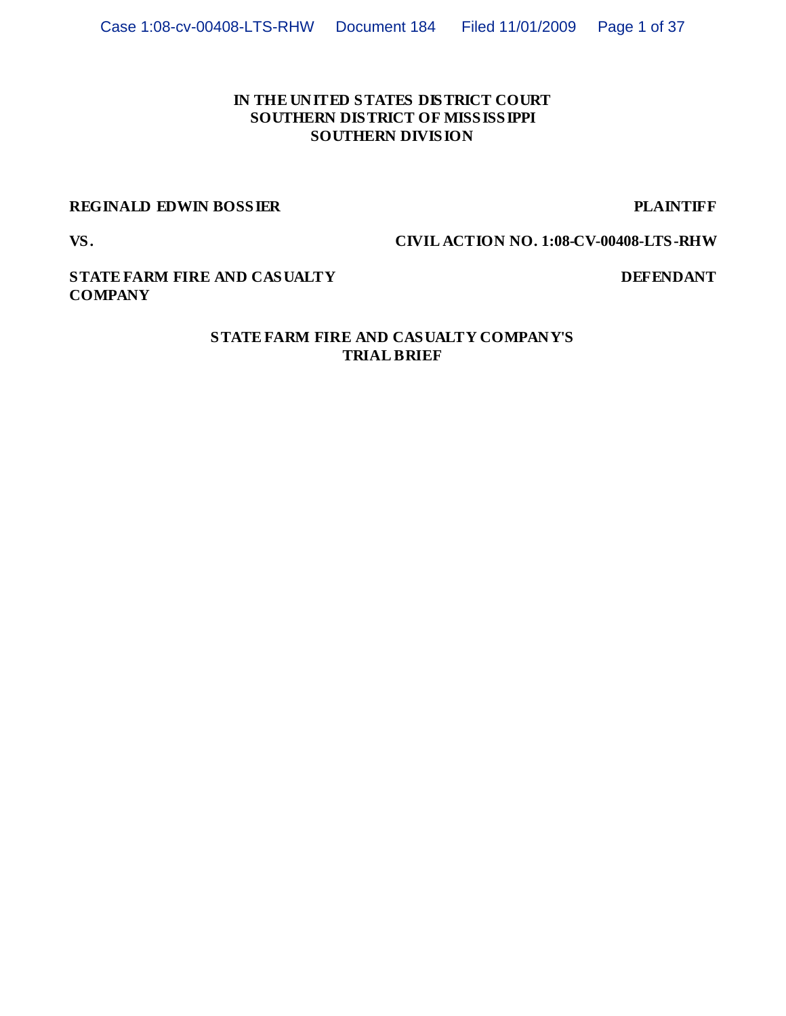# **IN THE UNITED STATES DISTRICT COURT SOUTHERN DISTRICT OF MISSISSIPPI SOUTHERN DIVISION**

# **REGINALD EDWIN BOSSIER PLAINTIFF**

**VS. CIVIL ACTION NO. 1:08-CV-00408-LTS-RHW**

# **STATE FARM FIRE AND CASUALTY COMPANY**

# **DEFENDANT**

### **STATE FARM FIRE AND CASUALTY COMPANY'S TRIAL BRIEF**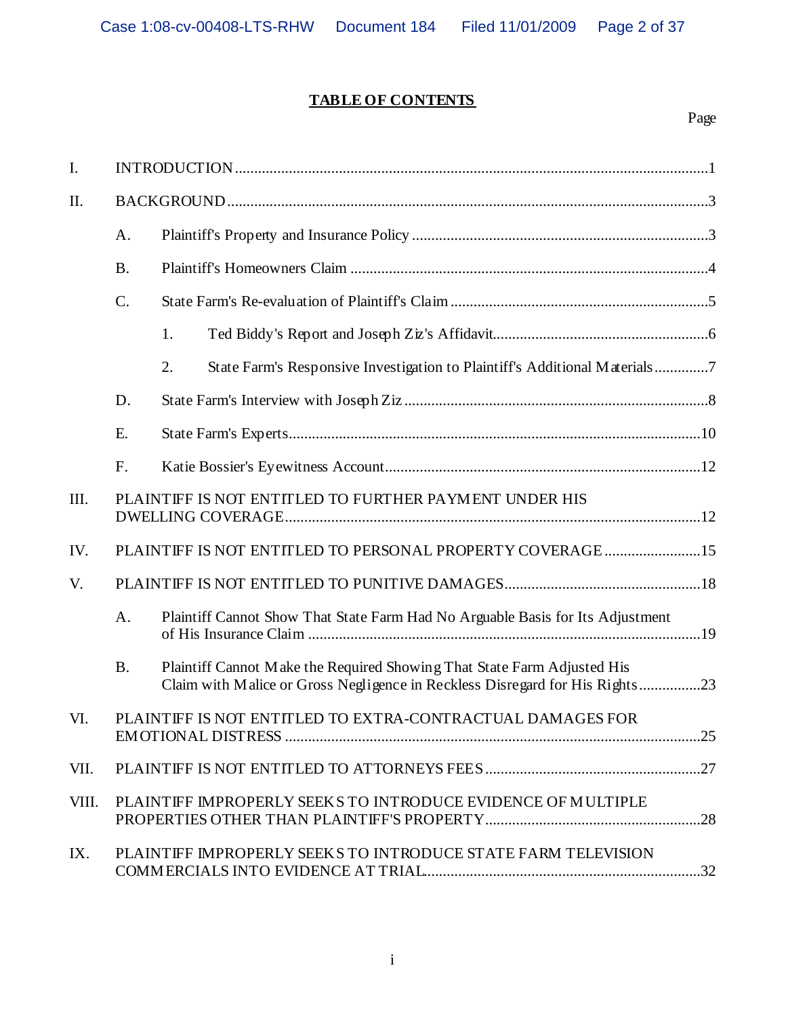# **TABLE OF CONTENTS**

# Page

| I.    |                                                              |                                                                                                                                                         |  |
|-------|--------------------------------------------------------------|---------------------------------------------------------------------------------------------------------------------------------------------------------|--|
| II.   |                                                              |                                                                                                                                                         |  |
|       | A.                                                           |                                                                                                                                                         |  |
|       | <b>B.</b>                                                    |                                                                                                                                                         |  |
|       | $C$ .                                                        |                                                                                                                                                         |  |
|       |                                                              | 1.                                                                                                                                                      |  |
|       |                                                              | 2.<br>State Farm's Responsive Investigation to Plaintiff's Additional Materials7                                                                        |  |
|       | D.                                                           |                                                                                                                                                         |  |
|       | E.                                                           |                                                                                                                                                         |  |
|       | F.                                                           |                                                                                                                                                         |  |
| III.  |                                                              | PLAINTIFF IS NOT ENTITLED TO FURTHER PAYMENT UNDER HIS                                                                                                  |  |
| IV.   |                                                              | PLAINTIFF IS NOT ENTITLED TO PERSONAL PROPERTY COVERAGE 15                                                                                              |  |
| V.    |                                                              |                                                                                                                                                         |  |
|       | A.                                                           | Plaintiff Cannot Show That State Farm Had No Arguable Basis for Its Adjustment                                                                          |  |
|       | <b>B.</b>                                                    | Plaintiff Cannot Make the Required Showing That State Farm Adjusted His<br>Claim with Malice or Gross Negligence in Reckless Disregard for His Rights23 |  |
| VI.   | PLAINTIFF IS NOT ENTITLED TO EXTRA-CONTRACTUAL DAMAGES FOR   |                                                                                                                                                         |  |
| VII.  |                                                              |                                                                                                                                                         |  |
| VIII. | PLAINTIFF IMPROPERLY SEEKS TO INTRODUCE EVIDENCE OF MULTIPLE |                                                                                                                                                         |  |
| IX.   |                                                              | PLAINTIFF IMPROPERLY SEEKS TO INTRODUCE STATE FARM TELEVISION                                                                                           |  |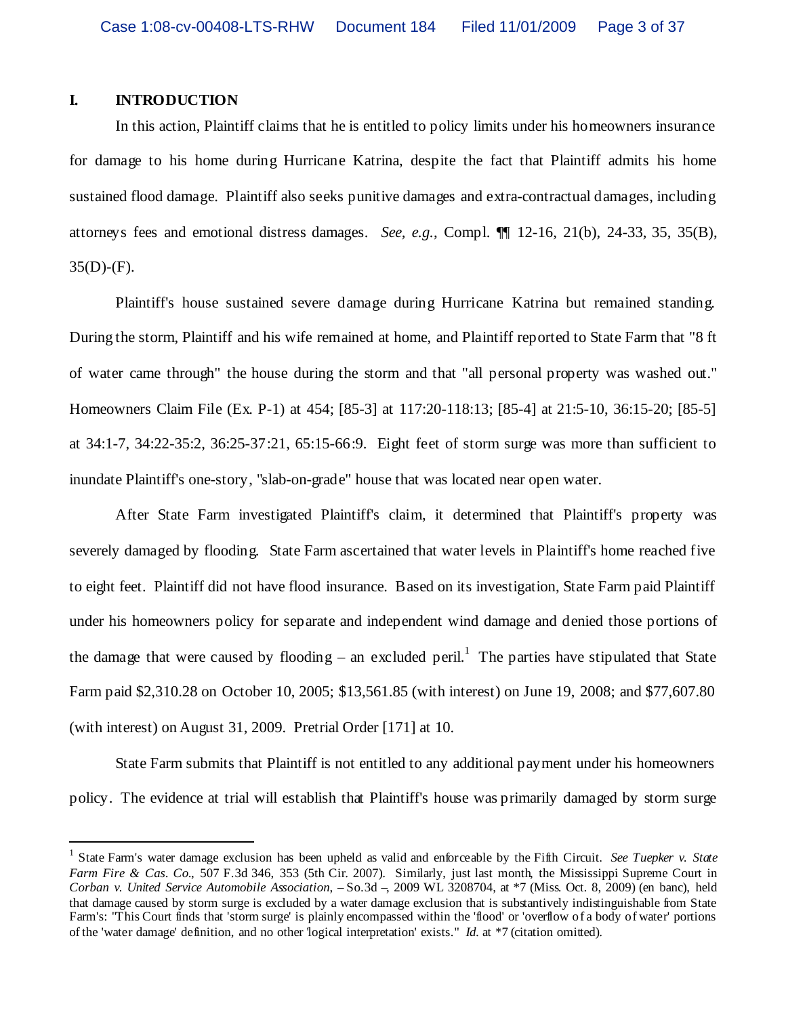#### **I. INTRODUCTION**

In this action, Plaintiff claims that he is entitled to policy limits under his homeowners insurance for damage to his home during Hurricane Katrina, despite the fact that Plaintiff admits his home sustained flood damage. Plaintiff also seeks punitive damages and extra-contractual damages, including attorneys fees and emotional distress damages. *See, e.g.*, Compl. ¶¶ 12-16, 21(b), 24-33, 35, 35(B),  $35(D)$ -(F).

Plaintiff's house sustained severe damage during Hurricane Katrina but remained standing. During the storm, Plaintiff and his wife remained at home, and Plaintiff reported to State Farm that "8 ft of water came through" the house during the storm and that "all personal property was washed out." Homeowners Claim File (Ex. P-1) at 454; [85-3] at 117:20-118:13; [85-4] at 21:5-10, 36:15-20; [85-5] at 34:1-7, 34:22-35:2, 36:25-37:21, 65:15-66:9. Eight feet of storm surge was more than sufficient to inundate Plaintiff's one-story, "slab-on-grade" house that was located near open water.

After State Farm investigated Plaintiff's claim, it determined that Plaintiff's property was severely damaged by flooding. State Farm ascertained that water levels in Plaintiff's home reached five to eight feet. Plaintiff did not have flood insurance. Based on its investigation, State Farm paid Plaintiff under his homeowners policy for separate and independent wind damage and denied those portions of the damage that were caused by flooding – an excluded peril.<sup>1</sup> The parties have stipulated that State Farm paid \$2,310.28 on October 10, 2005; \$13,561.85 (with interest) on June 19, 2008; and \$77,607.80 (with interest) on August 31, 2009. Pretrial Order [171] at 10.

State Farm submits that Plaintiff is not entitled to any additional payment under his homeowners policy. The evidence at trial will establish that Plaintiff's house was primarily damaged by storm surge

<sup>1</sup> State Farm's water damage exclusion has been upheld as valid and enforceable by the Fifth Circuit. *See Tuepker v. State Farm Fire & Cas. Co.*, 507 F.3d 346, 353 (5th Cir. 2007). Similarly, just last month, the Mississippi Supreme Court in *Corban v. United Service Automobile Association*, –So.3d –, 2009 WL 3208704, at \*7 (Miss. Oct. 8, 2009) (en banc), held that damage caused by storm surge is excluded by a water damage exclusion that is substantively indistinguishable from State Farm's: "This Court finds that 'storm surge' is plainly encompassed within the 'flood' or 'overflow of a body of water' portions of the 'water damage' definition, and no other 'logical interpretation' exists." *Id.* at \*7 (citation omitted).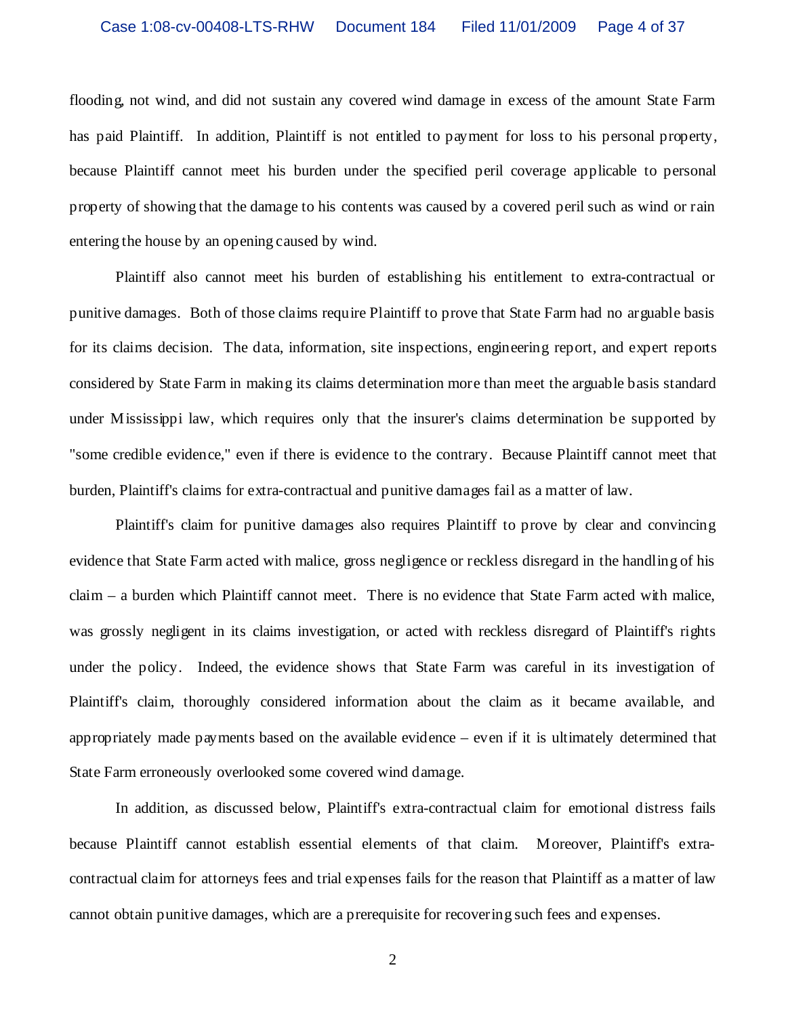flooding, not wind, and did not sustain any covered wind damage in excess of the amount State Farm has paid Plaintiff. In addition, Plaintiff is not entitled to payment for loss to his personal property, because Plaintiff cannot meet his burden under the specified peril coverage applicable to personal property of showing that the damage to his contents was caused by a covered peril such as wind or rain entering the house by an opening caused by wind.

Plaintiff also cannot meet his burden of establishing his entitlement to extra-contractual or punitive damages. Both of those claims require Plaintiff to prove that State Farm had no arguable basis for its claims decision. The data, information, site inspections, engineering report, and expert reports considered by State Farm in making its claims determination more than meet the arguable basis standard under Mississippi law, which requires only that the insurer's claims determination be supported by "some credible evidence," even if there is evidence to the contrary. Because Plaintiff cannot meet that burden, Plaintiff's claims for extra-contractual and punitive damages fail as a matter of law.

Plaintiff's claim for punitive damages also requires Plaintiff to prove by clear and convincing evidence that State Farm acted with malice, gross negligence or reckless disregard in the handling of his claim – a burden which Plaintiff cannot meet. There is no evidence that State Farm acted with malice, was grossly negligent in its claims investigation, or acted with reckless disregard of Plaintiff's rights under the policy. Indeed, the evidence shows that State Farm was careful in its investigation of Plaintiff's claim, thoroughly considered information about the claim as it became available, and appropriately made payments based on the available evidence – even if it is ultimately determined that State Farm erroneously overlooked some covered wind damage.

In addition, as discussed below, Plaintiff's extra-contractual claim for emotional distress fails because Plaintiff cannot establish essential elements of that claim. Moreover, Plaintiff's extracontractual claim for attorneys fees and trial expenses fails for the reason that Plaintiff as a matter of law cannot obtain punitive damages, which are a prerequisite for recovering such fees and expenses.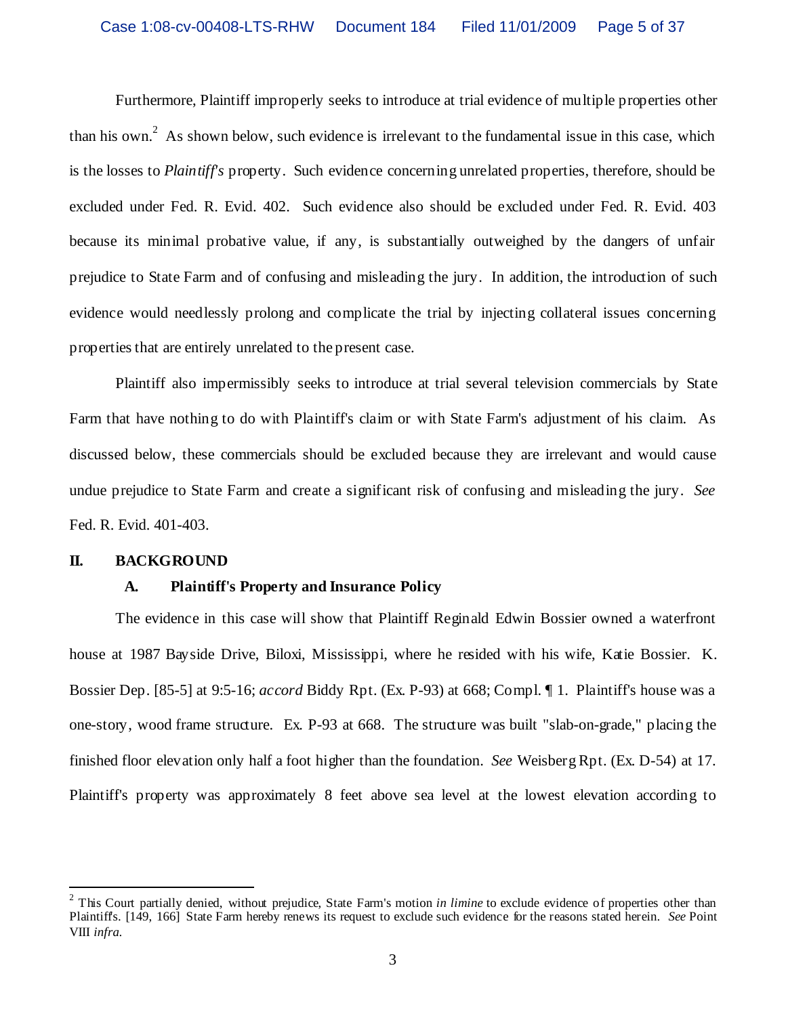Furthermore, Plaintiff improperly seeks to introduce at trial evidence of multiple properties other than his own.<sup>2</sup> As shown below, such evidence is irrelevant to the fundamental issue in this case, which is the losses to *Plaintiff's* property. Such evidence concerning unrelated properties, therefore, should be excluded under Fed. R. Evid. 402. Such evidence also should be excluded under Fed. R. Evid. 403 because its minimal probative value, if any, is substantially outweighed by the dangers of unfair prejudice to State Farm and of confusing and misleading the jury. In addition, the introduction of such evidence would needlessly prolong and complicate the trial by injecting collateral issues concerning properties that are entirely unrelated to the present case.

Plaintiff also impermissibly seeks to introduce at trial several television commercials by State Farm that have nothing to do with Plaintiff's claim or with State Farm's adjustment of his claim. As discussed below, these commercials should be excluded because they are irrelevant and would cause undue prejudice to State Farm and create a significant risk of confusing and misleading the jury. *See* Fed. R. Evid. 401-403.

#### **II. BACKGROUND**

#### **A. Plaintiff's Property and Insurance Policy**

The evidence in this case will show that Plaintiff Reginald Edwin Bossier owned a waterfront house at 1987 Bayside Drive, Biloxi, Mississippi, where he resided with his wife, Katie Bossier. K. Bossier Dep. [85-5] at 9:5-16; *accord* Biddy Rpt. (Ex. P-93) at 668; Compl. ¶ 1. Plaintiff's house was a one-story, wood frame structure. Ex. P-93 at 668. The structure was built "slab-on-grade," placing the finished floor elevation only half a foot higher than the foundation. *See* Weisberg Rpt. (Ex. D-54) at 17. Plaintiff's property was approximately 8 feet above sea level at the lowest elevation according to

<sup>&</sup>lt;sup>2</sup> This Court partially denied, without prejudice, State Farm's motion *in limine* to exclude evidence of properties other than Plaintiffs. [149, 166] State Farm hereby renews its request to exclude such evidence for the reasons stated herein. *See* Point VIII *infra.*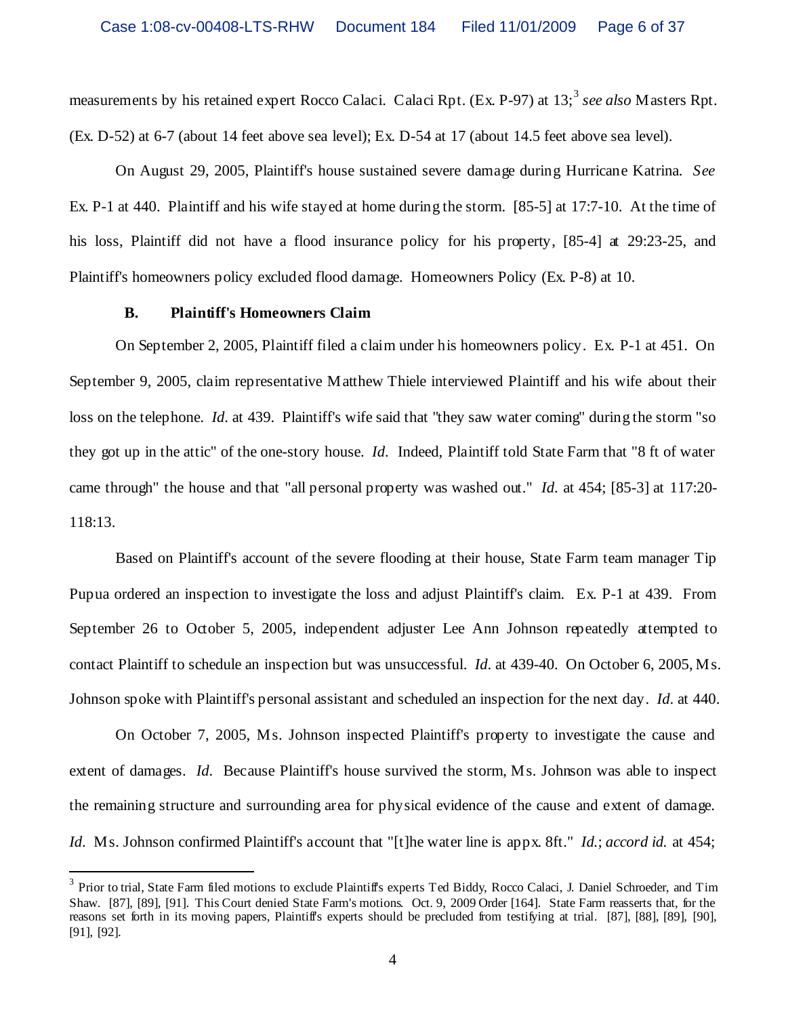measurements by his retained expert Rocco Calaci. Calaci Rpt. (Ex. P-97) at 13;<sup>3</sup> see also Masters Rpt. (Ex. D-52) at 6-7 (about 14 feet above sea level); Ex. D-54 at 17 (about 14.5 feet above sea level).

On August 29, 2005, Plaintiff's house sustained severe damage during Hurricane Katrina. *See* Ex. P-1 at 440. Plaintiff and his wife stayed at home during the storm. [85-5] at 17:7-10. At the time of his loss, Plaintiff did not have a flood insurance policy for his property, [85-4] at 29:23-25, and Plaintiff's homeowners policy excluded flood damage. Homeowners Policy (Ex. P-8) at 10.

#### **B. Plaintiff's Homeowners Claim**

On September 2, 2005, Plaintiff filed a claim under his homeowners policy. Ex. P-1 at 451. On September 9, 2005, claim representative Matthew Thiele interviewed Plaintiff and his wife about their loss on the telephone. *Id.* at 439. Plaintiff's wife said that "they saw water coming" during the storm "so they got up in the attic" of the one-story house. *Id*. Indeed, Plaintiff told State Farm that "8 ft of water came through" the house and that "all personal property was washed out." *Id*. at 454; [85-3] at 117:20- 118:13.

Based on Plaintiff's account of the severe flooding at their house, State Farm team manager Tip Pupua ordered an inspection to investigate the loss and adjust Plaintiff's claim. Ex. P-1 at 439. From September 26 to October 5, 2005, independent adjuster Lee Ann Johnson repeatedly attempted to contact Plaintiff to schedule an inspection but was unsuccessful. *Id*. at 439-40. On October 6, 2005, Ms. Johnson spoke with Plaintiff's personal assistant and scheduled an inspection for the next day. *Id*. at 440.

On October 7, 2005, Ms. Johnson inspected Plaintiff's property to investigate the cause and extent of damages. *Id*. Because Plaintiff's house survived the storm, Ms. Johnson was able to inspect the remaining structure and surrounding area for physical evidence of the cause and extent of damage. *Id*. Ms. Johnson confirmed Plaintiff's account that "[t]he water line is appx. 8ft." *Id.*; *accord id.* at 454;

<sup>&</sup>lt;sup>3</sup> Prior to trial, State Farm filed motions to exclude Plaintiff's experts Ted Biddy, Rocco Calaci, J. Daniel Schroeder, and Tim Shaw. [87], [89], [91]. This Court denied State Farm's motions. Oct. 9, 2009 Order [164]. State Farm reasserts that, for the reasons set forth in its moving papers, Plaintiff's experts should be precluded from testifying at trial. [87], [88], [89], [90], [91], [92].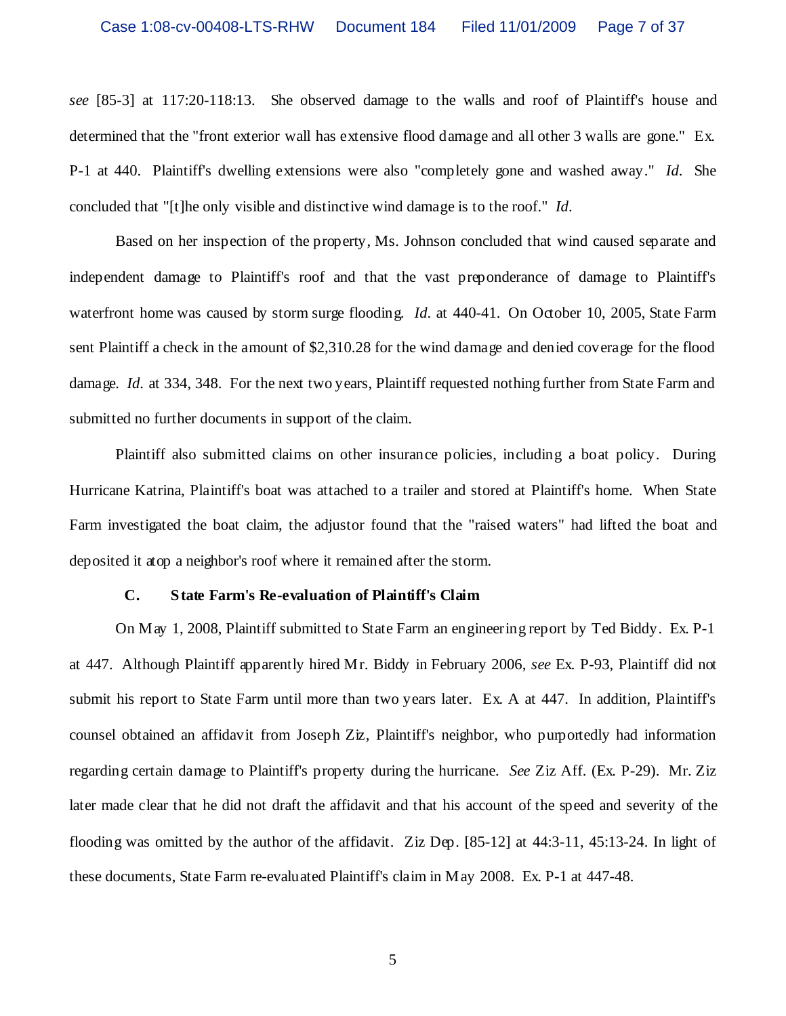*see* [85-3] at 117:20-118:13. She observed damage to the walls and roof of Plaintiff's house and determined that the "front exterior wall has extensive flood damage and all other 3 walls are gone." Ex. P-1 at 440. Plaintiff's dwelling extensions were also "completely gone and washed away." *Id*. She concluded that "[t]he only visible and distinctive wind damage is to the roof." *Id*.

Based on her inspection of the property, Ms. Johnson concluded that wind caused separate and independent damage to Plaintiff's roof and that the vast preponderance of damage to Plaintiff's waterfront home was caused by storm surge flooding. *Id.* at 440-41. On October 10, 2005, State Farm sent Plaintiff a check in the amount of \$2,310.28 for the wind damage and denied coverage for the flood damage. *Id*. at 334, 348. For the next two years, Plaintiff requested nothing further from State Farm and submitted no further documents in support of the claim.

Plaintiff also submitted claims on other insurance policies, including a boat policy. During Hurricane Katrina, Plaintiff's boat was attached to a trailer and stored at Plaintiff's home. When State Farm investigated the boat claim, the adjustor found that the "raised waters" had lifted the boat and deposited it atop a neighbor's roof where it remained after the storm.

#### **C. State Farm's Re-evaluation of Plaintiff's Claim**

On May 1, 2008, Plaintiff submitted to State Farm an engineering report by Ted Biddy. Ex. P-1 at 447. Although Plaintiff apparently hired Mr. Biddy in February 2006, *see* Ex. P-93, Plaintiff did not submit his report to State Farm until more than two years later. Ex. A at 447. In addition, Plaintiff's counsel obtained an affidavit from Joseph Ziz, Plaintiff's neighbor, who purportedly had information regarding certain damage to Plaintiff's property during the hurricane. *See* Ziz Aff. (Ex. P-29). Mr. Ziz later made clear that he did not draft the affidavit and that his account of the speed and severity of the flooding was omitted by the author of the affidavit. Ziz Dep. [85-12] at 44:3-11, 45:13-24. In light of these documents, State Farm re-evaluated Plaintiff's claim in May 2008. Ex. P-1 at 447-48.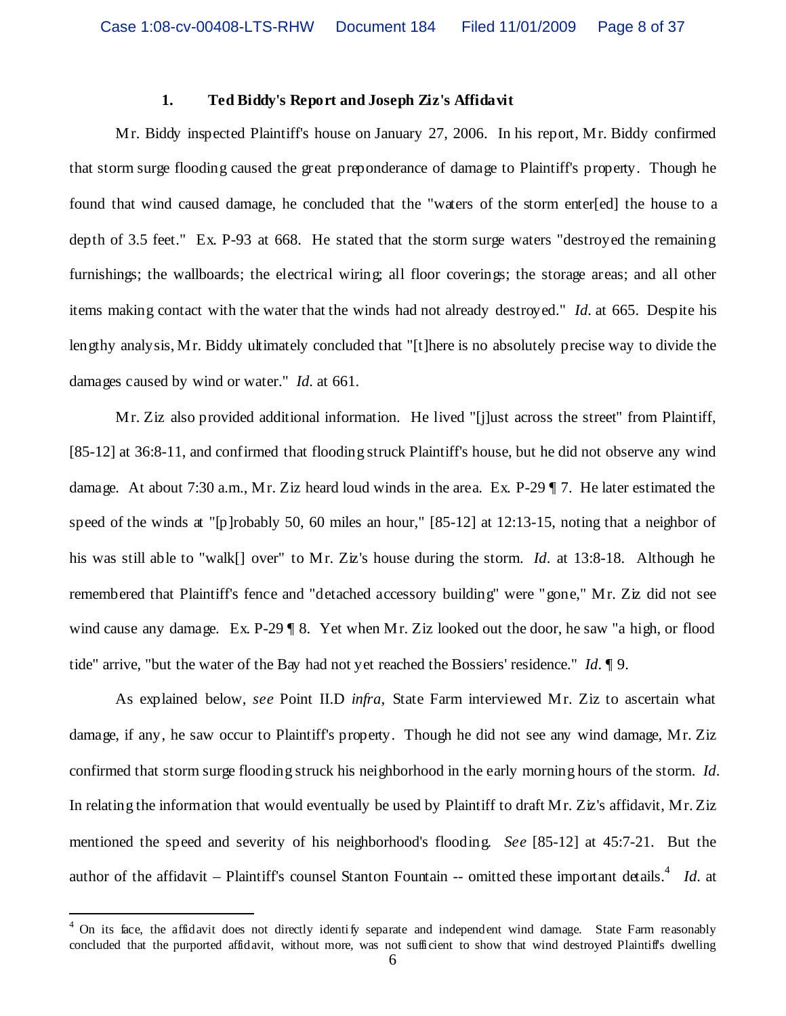#### **1. Ted Biddy's Report and Joseph Ziz's Affidavit**

Mr. Biddy inspected Plaintiff's house on January 27, 2006. In his report, Mr. Biddy confirmed that storm surge flooding caused the great preponderance of damage to Plaintiff's property. Though he found that wind caused damage, he concluded that the "waters of the storm enter[ed] the house to a depth of 3.5 feet." Ex. P-93 at 668. He stated that the storm surge waters "destroyed the remaining furnishings; the wallboards; the electrical wiring; all floor coverings; the storage areas; and all other items making contact with the water that the winds had not already destroyed." *Id*. at 665. Despite his lengthy analysis, Mr. Biddy ultimately concluded that "[t]here is no absolutely precise way to divide the damages caused by wind or water." *Id*. at 661.

Mr. Ziz also provided additional information. He lived "[j]ust across the street" from Plaintiff, [85-12] at 36:8-11, and confirmed that flooding struck Plaintiff's house, but he did not observe any wind damage. At about 7:30 a.m., Mr. Ziz heard loud winds in the area. Ex. P-29 ¶ 7. He later estimated the speed of the winds at "[p]robably 50, 60 miles an hour," [85-12] at 12:13-15, noting that a neighbor of his was still able to "walk[] over" to Mr. Ziz's house during the storm. *Id*. at 13:8-18. Although he remembered that Plaintiff's fence and "detached accessory building" were "gone," Mr. Ziz did not see wind cause any damage. Ex. P-29 ¶ 8. Yet when Mr. Ziz looked out the door, he saw "a high, or flood tide" arrive, "but the water of the Bay had not yet reached the Bossiers' residence." *Id*. ¶ 9.

As explained below, *see* Point II.D *infra*, State Farm interviewed Mr. Ziz to ascertain what damage, if any, he saw occur to Plaintiff's property. Though he did not see any wind damage, Mr. Ziz confirmed that storm surge flooding struck his neighborhood in the early morning hours of the storm. *Id*. In relating the information that would eventually be used by Plaintiff to draft Mr. Ziz's affidavit, Mr. Ziz mentioned the speed and severity of his neighborhood's flooding. *See* [85-12] at 45:7-21. But the author of the affidavit – Plaintiff's counsel Stanton Fountain -- omitted these important details.<sup>4</sup> Id. at

<sup>4</sup> On its face, the affidavit does not directly identify separate and independent wind damage. State Farm reasonably concluded that the purported affidavit, without more, was not sufficient to show that wind destroyed Plaintiff's dwelling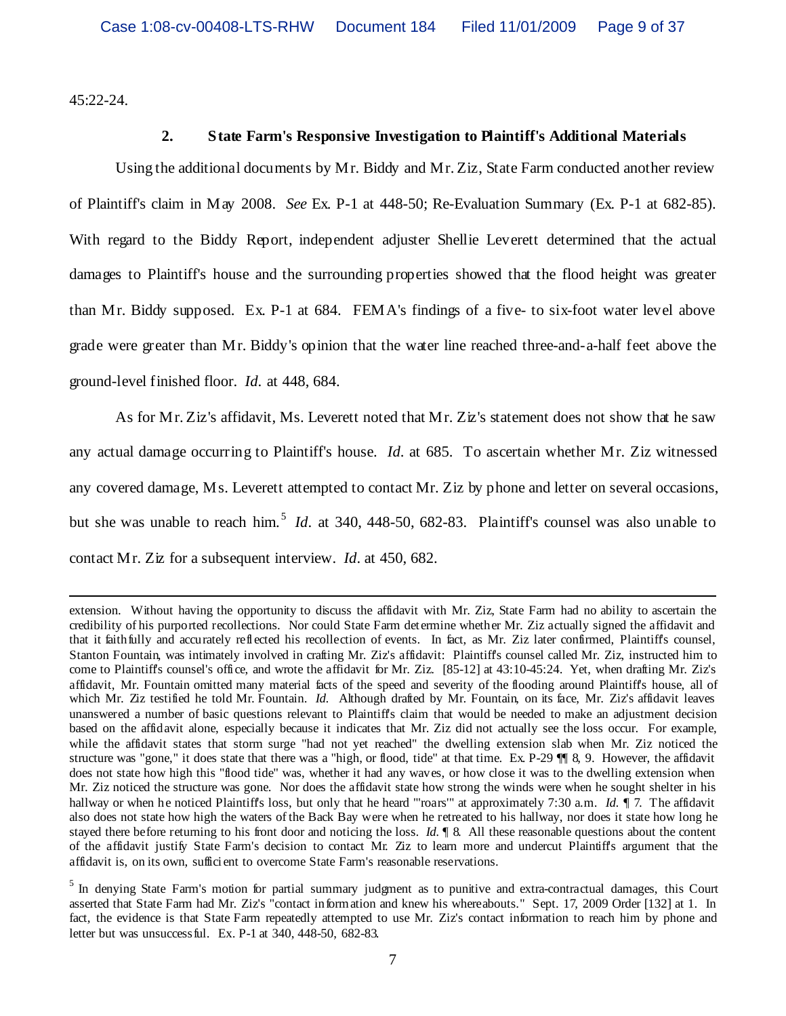45:22-24.

#### **2. State Farm's Responsive Investigation to Plaintiff's Additional Materials**

Using the additional documents by Mr. Biddy and Mr. Ziz, State Farm conducted another review of Plaintiff's claim in May 2008. *See* Ex. P-1 at 448-50; Re-Evaluation Summary (Ex. P-1 at 682-85). With regard to the Biddy Report, independent adjuster Shellie Leverett determined that the actual damages to Plaintiff's house and the surrounding properties showed that the flood height was greater than Mr. Biddy supposed. Ex. P-1 at 684. FEMA's findings of a five- to six-foot water level above grade were greater than Mr. Biddy's opinion that the water line reached three-and-a-half feet above the ground-level finished floor. *Id*. at 448, 684.

As for Mr. Ziz's affidavit, Ms. Leverett noted that Mr. Ziz's statement does not show that he saw any actual damage occurring to Plaintiff's house. *Id*. at 685. To ascertain whether Mr. Ziz witnessed any covered damage, Ms. Leverett attempted to contact Mr. Ziz by phone and letter on several occasions, but she was unable to reach him.<sup>5</sup> *Id.* at 340, 448-50, 682-83. Plaintiff's counsel was also unable to contact Mr. Ziz for a subsequent interview. *Id*. at 450, 682.

extension. Without having the opportunity to discuss the affidavit with Mr. Ziz, State Farm had no ability to ascertain the credibility of his purported recollections. Nor could State Farm determine whether Mr. Ziz actually signed the affidavit and that it faithfully and accurately reflected his recollection of events. In fact, as Mr. Ziz later confirmed, Plaintiff's counsel, Stanton Fountain, was intimately involved in crafting Mr. Ziz's affidavit: Plaintiff's counsel called Mr. Ziz, instructed him to come to Plaintiff's counsel's office, and wrote the affidavit for Mr. Ziz. [85-12] at 43:10-45:24. Yet, when drafting Mr. Ziz's affidavit, Mr. Fountain omitted many material facts of the speed and severity of the flooding around Plaintiff's house, all of which Mr. Ziz testified he told Mr. Fountain. *Id.* Although drafted by Mr. Fountain, on its face, Mr. Ziz's affidavit leaves unanswered a number of basic questions relevant to Plaintiff's claim that would be needed to make an adjustment decision based on the affidavit alone, especially because it indicates that Mr. Ziz did not actually see the loss occur. For example, while the affidavit states that storm surge "had not yet reached" the dwelling extension slab when Mr. Ziz noticed the structure was "gone," it does state that there was a "high, or flood, tide" at that time. Ex. P-29 ¶¶ 8, 9. However, the affidavit does not state how high this "flood tide" was, whether it had any waves, or how close it was to the dwelling extension when Mr. Ziz noticed the structure was gone. Nor does the affidavit state how strong the winds were when he sought shelter in his hallway or when he noticed Plaintiff's loss, but only that he heard "'roars'" at approximately 7:30 a.m. *Id.* ¶ 7. The affidavit also does not state how high the waters of the Back Bay were when he retreated to his hallway, nor does it state how long he stayed there before returning to his front door and noticing the loss. *Id.* ¶ 8. All these reasonable questions about the content of the affidavit justify State Farm's decision to contact Mr. Ziz to learn more and undercut Plaintiff's argument that the affidavit is, on its own, sufficient to overcome State Farm's reasonable reservations.

<sup>&</sup>lt;sup>5</sup> In denying State Farm's motion for partial summary judgment as to punitive and extra-contractual damages, this Court asserted that State Farm had Mr. Ziz's "contact information and knew his whereabouts." Sept. 17, 2009 Order [132] at 1. In fact, the evidence is that State Farm repeatedly attempted to use Mr. Ziz's contact information to reach him by phone and letter but was unsuccessful. Ex. P-1 at 340, 448-50, 682-83.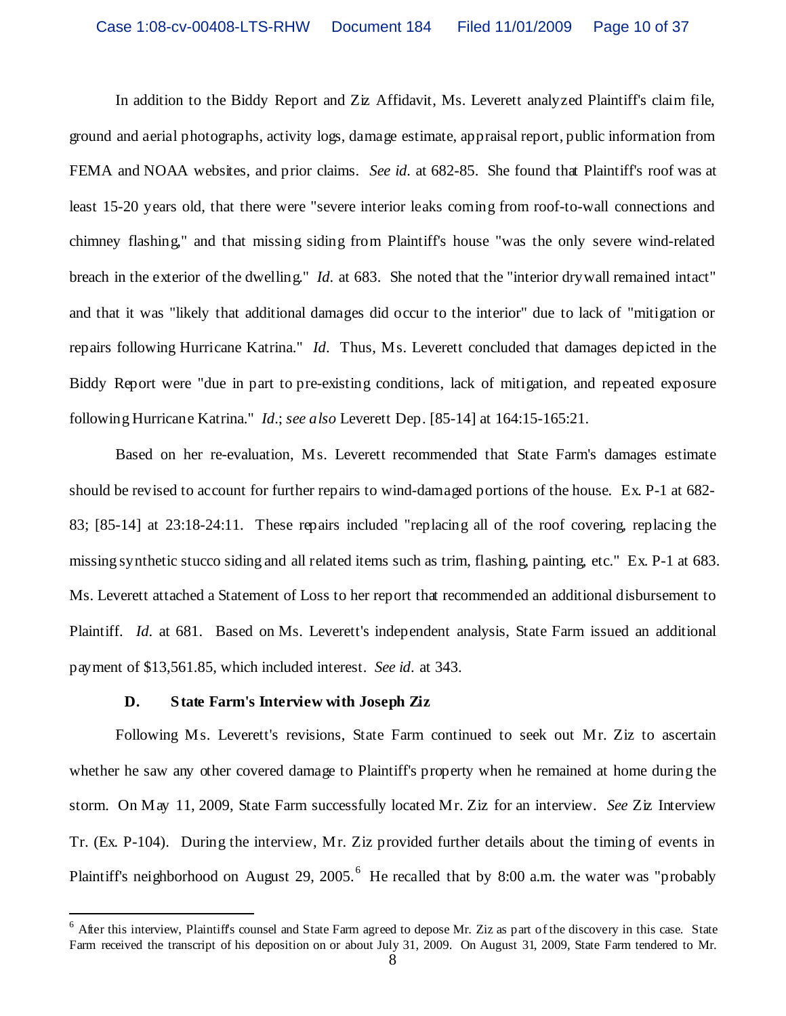In addition to the Biddy Report and Ziz Affidavit, Ms. Leverett analyzed Plaintiff's claim file, ground and aerial photographs, activity logs, damage estimate, appraisal report, public information from FEMA and NOAA websites, and prior claims. *See id*. at 682-85. She found that Plaintiff's roof was at least 15-20 years old, that there were "severe interior leaks coming from roof-to-wall connections and chimney flashing," and that missing siding from Plaintiff's house "was the only severe wind-related breach in the exterior of the dwelling." *Id*. at 683. She noted that the "interior drywall remained intact" and that it was "likely that additional damages did occur to the interior" due to lack of "mitigation or repairs following Hurricane Katrina." *Id*. Thus, Ms. Leverett concluded that damages depicted in the Biddy Report were "due in part to pre-existing conditions, lack of mitigation, and repeated exposure following Hurricane Katrina." *Id*.; *see also* Leverett Dep. [85-14] at 164:15-165:21.

Based on her re-evaluation, Ms. Leverett recommended that State Farm's damages estimate should be revised to account for further repairs to wind-damaged portions of the house. Ex. P-1 at 682- 83; [85-14] at 23:18-24:11. These repairs included "replacing all of the roof covering, replacing the missing synthetic stucco siding and all related items such as trim, flashing, painting, etc." Ex. P-1 at 683. Ms. Leverett attached a Statement of Loss to her report that recommended an additional disbursement to Plaintiff. *Id*. at 681. Based on Ms. Leverett's independent analysis, State Farm issued an additional payment of \$13,561.85, which included interest. *See id*. at 343.

#### **D. State Farm's Interview with Joseph Ziz**

Following Ms. Leverett's revisions, State Farm continued to seek out Mr. Ziz to ascertain whether he saw any other covered damage to Plaintiff's property when he remained at home during the storm. On May 11, 2009, State Farm successfully located Mr. Ziz for an interview. *See* Ziz Interview Tr. (Ex. P-104). During the interview, Mr. Ziz provided further details about the timing of events in Plaintiff's neighborhood on August 29, 2005.<sup>6</sup> He recalled that by 8:00 a.m. the water was "probably

<sup>&</sup>lt;sup>6</sup> After this interview, Plaintiff's counsel and State Farm agreed to depose Mr. Ziz as part of the discovery in this case. State Farm received the transcript of his deposition on or about July 31, 2009. On August 31, 2009, State Farm tendered to Mr.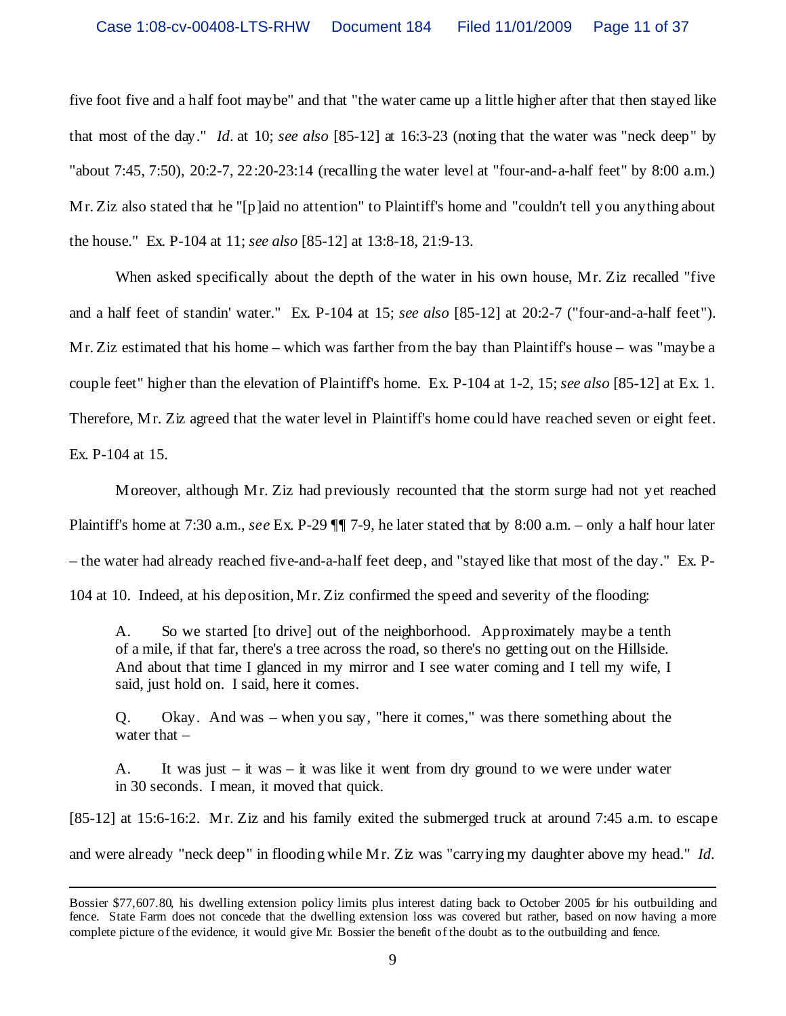five foot five and a half foot maybe" and that "the water came up a little higher after that then stayed like that most of the day." *Id*. at 10; *see also* [85-12] at 16:3-23 (noting that the water was "neck deep" by "about 7:45, 7:50), 20:2-7, 22:20-23:14 (recalling the water level at "four-and-a-half feet" by 8:00 a.m.) Mr. Ziz also stated that he "[p]aid no attention" to Plaintiff's home and "couldn't tell you anything about the house." Ex. P-104 at 11; *see also* [85-12] at 13:8-18, 21:9-13.

When asked specifically about the depth of the water in his own house, Mr. Ziz recalled "five and a half feet of standin' water." Ex. P-104 at 15; *see also* [85-12] at 20:2-7 ("four-and-a-half feet"). Mr. Ziz estimated that his home – which was farther from the bay than Plaintiff's house – was "maybe a couple feet" higher than the elevation of Plaintiff's home. Ex. P-104 at 1-2, 15; *see also* [85-12] at Ex. 1. Therefore, Mr. Ziz agreed that the water level in Plaintiff's home could have reached seven or eight feet. Ex. P-104 at 15.

Moreover, although Mr. Ziz had previously recounted that the storm surge had not yet reached Plaintiff's home at 7:30 a.m., *see* Ex. P-29 ¶¶ 7-9, he later stated that by 8:00 a.m. – only a half hour later – the water had already reached five-and-a-half feet deep, and "stayed like that most of the day." Ex. P-104 at 10. Indeed, at his deposition, Mr. Ziz confirmed the speed and severity of the flooding:

A. So we started [to drive] out of the neighborhood. Approximately maybe a tenth of a mile, if that far, there's a tree across the road, so there's no getting out on the Hillside. And about that time I glanced in my mirror and I see water coming and I tell my wife, I said, just hold on. I said, here it comes.

Q. Okay. And was – when you say, "here it comes," was there something about the water that –

A. It was just  $-\dot{\mathbf{i}}$  was  $-\dot{\mathbf{i}}$  was like it went from dry ground to we were under water in 30 seconds. I mean, it moved that quick.

[85-12] at 15:6-16:2. Mr. Ziz and his family exited the submerged truck at around 7:45 a.m. to escape and were already "neck deep" in flooding while Mr. Ziz was "carrying my daughter above my head." *Id*.

Bossier \$77,607.80, his dwelling extension policy limits plus interest dating back to October 2005 for his outbuilding and fence. State Farm does not concede that the dwelling extension loss was covered but rather, based on now having a more complete picture of the evidence, it would give Mr. Bossier the benefit of the doubt as to the outbuilding and fence.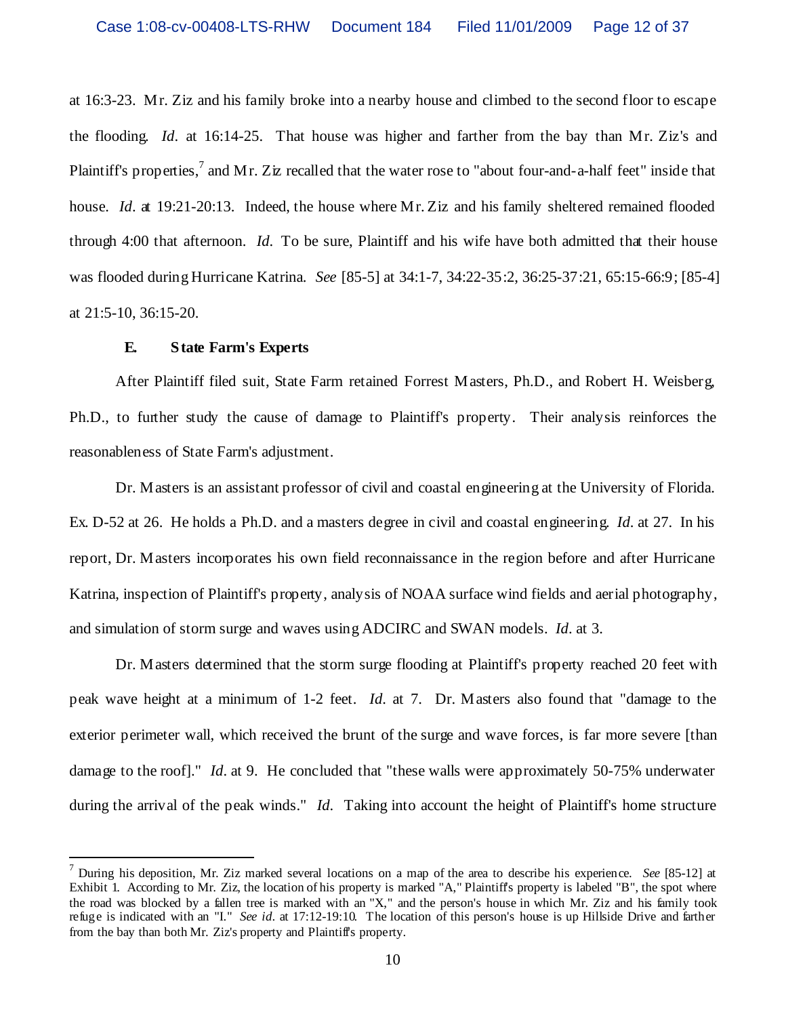at 16:3-23. Mr. Ziz and his family broke into a nearby house and climbed to the second floor to escape the flooding. *Id*. at 16:14-25. That house was higher and farther from the bay than Mr. Ziz's and Plaintiff's properties,<sup>7</sup> and Mr. Ziz recalled that the water rose to "about four-and-a-half feet" inside that house. *Id.* at 19:21-20:13. Indeed, the house where Mr. Ziz and his family sheltered remained flooded through 4:00 that afternoon. *Id*. To be sure, Plaintiff and his wife have both admitted that their house was flooded during Hurricane Katrina. *See* [85-5] at 34:1-7, 34:22-35:2, 36:25-37:21, 65:15-66:9; [85-4] at 21:5-10, 36:15-20.

#### **E. State Farm's Experts**

After Plaintiff filed suit, State Farm retained Forrest Masters, Ph.D., and Robert H. Weisberg, Ph.D., to further study the cause of damage to Plaintiff's property. Their analysis reinforces the reasonableness of State Farm's adjustment.

Dr. Masters is an assistant professor of civil and coastal engineering at the University of Florida. Ex. D-52 at 26. He holds a Ph.D. and a masters degree in civil and coastal engineering. *Id*. at 27. In his report, Dr. Masters incorporates his own field reconnaissance in the region before and after Hurricane Katrina, inspection of Plaintiff's property, analysis of NOAA surface wind fields and aerial photography, and simulation of storm surge and waves using ADCIRC and SWAN models. *Id*. at 3.

Dr. Masters determined that the storm surge flooding at Plaintiff's property reached 20 feet with peak wave height at a minimum of 1-2 feet. *Id*. at 7. Dr. Masters also found that "damage to the exterior perimeter wall, which received the brunt of the surge and wave forces, is far more severe [than damage to the roof]." *Id*. at 9. He concluded that "these walls were approximately 50-75% underwater during the arrival of the peak winds." *Id*. Taking into account the height of Plaintiff's home structure

<sup>7</sup> During his deposition, Mr. Ziz marked several locations on a map of the area to describe his experience. *See* [85-12] at Exhibit 1. According to Mr. Ziz, the location of his property is marked "A," Plaintiff's property is labeled "B", the spot where the road was blocked by a fallen tree is marked with an "X," and the person's house in which Mr. Ziz and his family took refuge is indicated with an "I." *See id*. at 17:12-19:10. The location of this person's house is up Hillside Drive and farther from the bay than both Mr. Ziz's property and Plaintiff's property.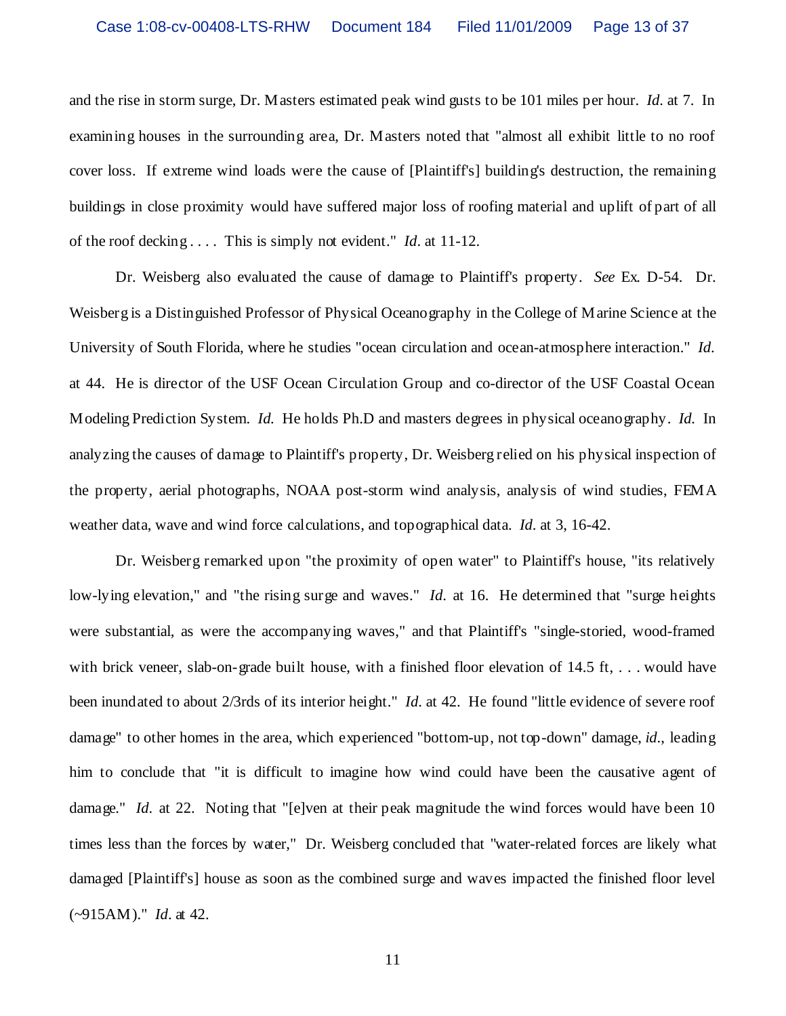and the rise in storm surge, Dr. Masters estimated peak wind gusts to be 101 miles per hour. *Id*. at 7. In examining houses in the surrounding area, Dr. Masters noted that "almost all exhibit little to no roof cover loss. If extreme wind loads were the cause of [Plaintiff's] building's destruction, the remaining buildings in close proximity would have suffered major loss of roofing material and uplift of part of all of the roof decking . . . . This is simply not evident." *Id*. at 11-12.

Dr. Weisberg also evaluated the cause of damage to Plaintiff's property. *See* Ex. D-54. Dr. Weisberg is a Distinguished Professor of Physical Oceanography in the College of Marine Science at the University of South Florida, where he studies "ocean circulation and ocean-atmosphere interaction." *Id*. at 44. He is director of the USF Ocean Circulation Group and co-director of the USF Coastal Ocean Modeling Prediction System. *Id.* He holds Ph.D and masters degrees in physical oceanography. *Id.* In analyzing the causes of damage to Plaintiff's property, Dr. Weisberg relied on his physical inspection of the property, aerial photographs, NOAA post-storm wind analysis, analysis of wind studies, FEMA weather data, wave and wind force calculations, and topographical data. *Id*. at 3, 16-42.

Dr. Weisberg remarked upon "the proximity of open water" to Plaintiff's house, "its relatively low-lying elevation," and "the rising surge and waves." *Id*. at 16. He determined that "surge heights were substantial, as were the accompanying waves," and that Plaintiff's "single-storied, wood-framed with brick veneer, slab-on-grade built house, with a finished floor elevation of  $14.5 \text{ ft}$ , ... would have been inundated to about 2/3rds of its interior height." *Id*. at 42. He found "little evidence of severe roof damage" to other homes in the area, which experienced "bottom-up, not top-down" damage, *id*., leading him to conclude that "it is difficult to imagine how wind could have been the causative agent of damage." *Id.* at 22. Noting that "[e]ven at their peak magnitude the wind forces would have been 10 times less than the forces by water," Dr. Weisberg concluded that "water-related forces are likely what damaged [Plaintiff's] house as soon as the combined surge and waves impacted the finished floor level (~915AM)." *Id*. at 42.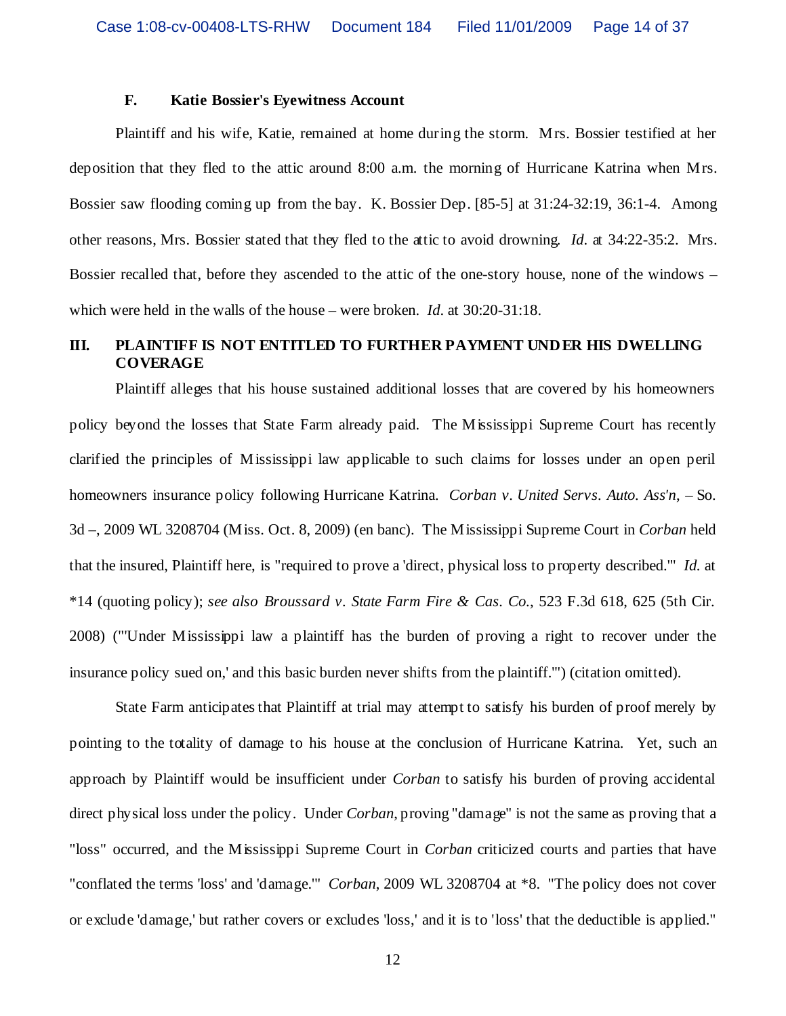#### **F. Katie Bossier's Eyewitness Account**

Plaintiff and his wife, Katie, remained at home during the storm. Mrs. Bossier testified at her deposition that they fled to the attic around 8:00 a.m. the morning of Hurricane Katrina when Mrs. Bossier saw flooding coming up from the bay. K. Bossier Dep. [85-5] at 31:24-32:19, 36:1-4. Among other reasons, Mrs. Bossier stated that they fled to the attic to avoid drowning. *Id*. at 34:22-35:2. Mrs. Bossier recalled that, before they ascended to the attic of the one-story house, none of the windows – which were held in the walls of the house – were broken. *Id*. at 30:20-31:18.

# **III. PLAINTIFF IS NOT ENTITLED TO FURTHER PAYMENT UNDER HIS DWELLING COVERAGE**

Plaintiff alleges that his house sustained additional losses that are covered by his homeowners policy beyond the losses that State Farm already paid. The Mississippi Supreme Court has recently clarified the principles of Mississippi law applicable to such claims for losses under an open peril homeowners insurance policy following Hurricane Katrina. *Corban v. United Servs. Auto. Ass'n*, – So. 3d –, 2009 WL 3208704 (Miss. Oct. 8, 2009) (en banc). The Mississippi Supreme Court in *Corban* held that the insured, Plaintiff here, is "required to prove a 'direct, physical loss to property described.'" *Id.* at \*14 (quoting policy); *see also Broussard v. State Farm Fire & Cas. Co.*, 523 F.3d 618, 625 (5th Cir. 2008) ("'Under Mississippi law a plaintiff has the burden of proving a right to recover under the insurance policy sued on,' and this basic burden never shifts from the plaintiff.'") (citation omitted).

State Farm anticipates that Plaintiff at trial may attempt to satisfy his burden of proof merely by pointing to the totality of damage to his house at the conclusion of Hurricane Katrina. Yet, such an approach by Plaintiff would be insufficient under *Corban* to satisfy his burden of proving accidental direct physical loss under the policy. Under *Corban*, proving "damage" is not the same as proving that a "loss" occurred, and the Mississippi Supreme Court in *Corban* criticized courts and parties that have "conflated the terms 'loss' and 'damage.'" *Corban*, 2009 WL 3208704 at \*8. "The policy does not cover or exclude 'damage,' but rather covers or excludes 'loss,' and it is to 'loss' that the deductible is applied."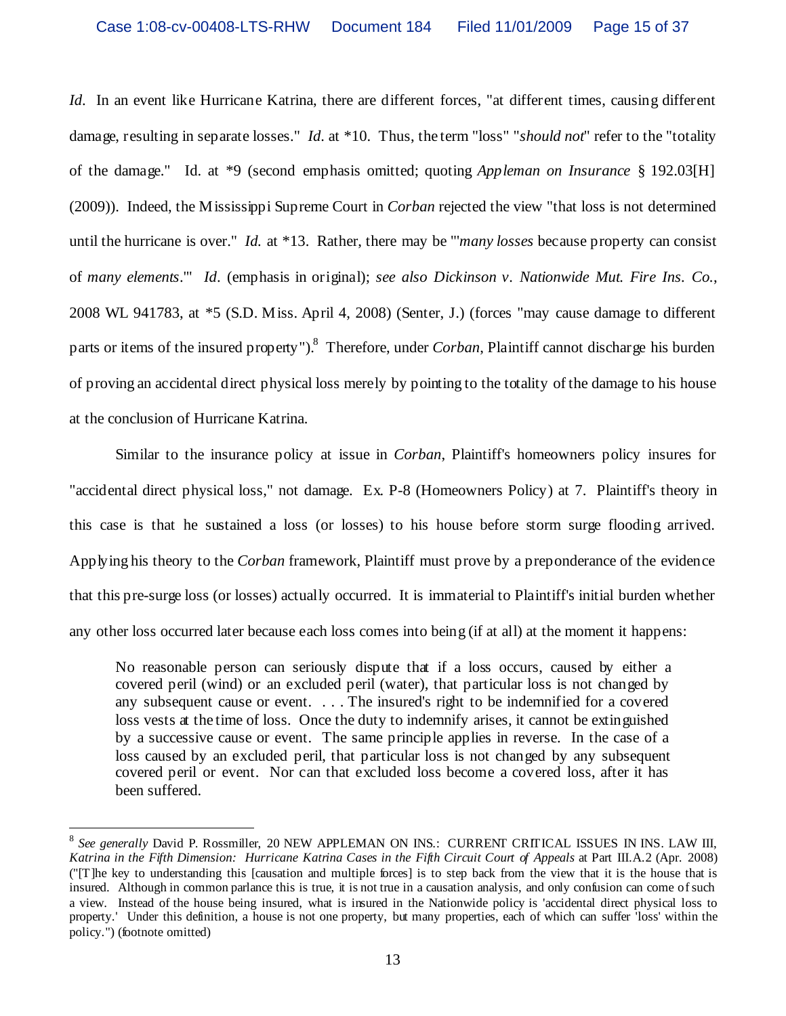*Id.* In an event like Hurricane Katrina, there are different forces, "at different times, causing different damage, resulting in separate losses." *Id*. at \*10. Thus, the term "loss" "*should not*" refer to the "totality of the damage." Id. at \*9 (second emphasis omitted; quoting *Appleman on Insurance* § 192.03[H] (2009)). Indeed, the Mississippi Supreme Court in *Corban* rejected the view "that loss is not determined until the hurricane is over." *Id.* at \*13. Rather, there may be "'*many losses* because property can consist of *many elements*.'" *Id*. (emphasis in original); *see also Dickinson v. Nationwide Mut. Fire Ins. Co.*, 2008 WL 941783, at \*5 (S.D. Miss. April 4, 2008) (Senter, J.) (forces "may cause damage to different parts or items of the insured property"). 8 Therefore, under *Corban*, Plaintiff cannot discharge his burden of proving an accidental direct physical loss merely by pointing to the totality of the damage to his house at the conclusion of Hurricane Katrina.

Similar to the insurance policy at issue in *Corban*, Plaintiff's homeowners policy insures for "accidental direct physical loss," not damage. Ex. P-8 (Homeowners Policy) at 7. Plaintiff's theory in this case is that he sustained a loss (or losses) to his house before storm surge flooding arrived. Applying his theory to the *Corban* framework, Plaintiff must prove by a preponderance of the evidence that this pre-surge loss (or losses) actually occurred. It is immaterial to Plaintiff's initial burden whether any other loss occurred later because each loss comes into being (if at all) at the moment it happens:

No reasonable person can seriously dispute that if a loss occurs, caused by either a covered peril (wind) or an excluded peril (water), that particular loss is not changed by any subsequent cause or event. . . . The insured's right to be indemnified for a covered loss vests at the time of loss. Once the duty to indemnify arises, it cannot be extinguished by a successive cause or event. The same principle applies in reverse. In the case of a loss caused by an excluded peril, that particular loss is not changed by any subsequent covered peril or event. Nor can that excluded loss become a covered loss, after it has been suffered.

<sup>8</sup> *See generally* David P. Rossmiller, 20 NEW APPLEMAN ON INS.: CURRENT CRITICAL ISSUES IN INS. LAW III, *Katrina in the Fifth Dimension: Hurricane Katrina Cases in the Fifth Circuit Court of Appeals* at Part III.A.2 (Apr. 2008) ("[T]he key to understanding this [causation and multiple forces] is to step back from the view that it is the house that is insured. Although in common parlance this is true, it is not true in a causation analysis, and only confusion can come of such a view. Instead of the house being insured, what is insured in the Nationwide policy is 'accidental direct physical loss to property.' Under this definition, a house is not one property, but many properties, each of which can suffer 'loss' within the policy.") (footnote omitted)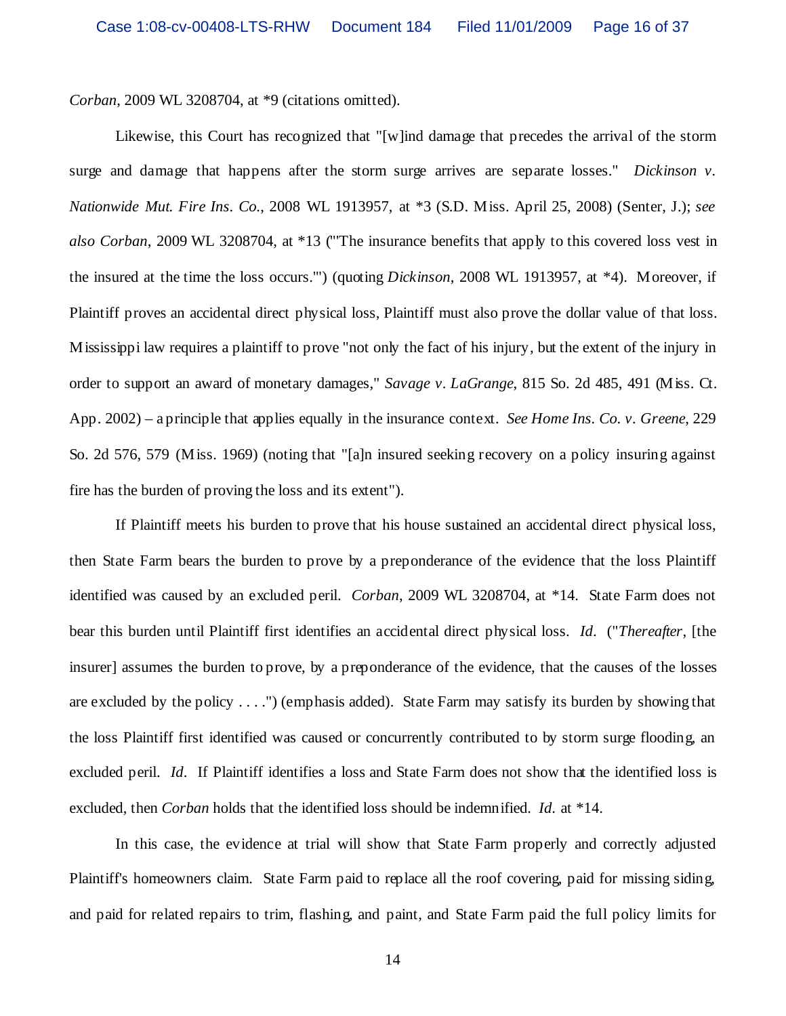*Corban*, 2009 WL 3208704, at \*9 (citations omitted).

Likewise, this Court has recognized that "[w]ind damage that precedes the arrival of the storm surge and damage that happens after the storm surge arrives are separate losses." *Dickinson v. Nationwide Mut. Fire Ins. Co.*, 2008 WL 1913957, at \*3 (S.D. Miss. April 25, 2008) (Senter, J.); *see also Corban*, 2009 WL 3208704, at \*13 ("'The insurance benefits that apply to this covered loss vest in the insured at the time the loss occurs.'") (quoting *Dickinson*, 2008 WL 1913957, at \*4). Moreover, if Plaintiff proves an accidental direct physical loss, Plaintiff must also prove the dollar value of that loss. Mississippi law requires a plaintiff to prove "not only the fact of his injury, but the extent of the injury in order to support an award of monetary damages," *Savage v. LaGrange*, 815 So. 2d 485, 491 (Miss. Ct. App. 2002) – a principle that applies equally in the insurance context. *See Home Ins. Co. v. Greene*, 229 So. 2d 576, 579 (Miss. 1969) (noting that "[a]n insured seeking recovery on a policy insuring against fire has the burden of proving the loss and its extent").

If Plaintiff meets his burden to prove that his house sustained an accidental direct physical loss, then State Farm bears the burden to prove by a preponderance of the evidence that the loss Plaintiff identified was caused by an excluded peril. *Corban*, 2009 WL 3208704, at \*14. State Farm does not bear this burden until Plaintiff first identifies an accidental direct physical loss. *Id*. ("*Thereafter*, [the insurer] assumes the burden to prove, by a preponderance of the evidence, that the causes of the losses are excluded by the policy . . . .") (emphasis added). State Farm may satisfy its burden by showing that the loss Plaintiff first identified was caused or concurrently contributed to by storm surge flooding, an excluded peril. *Id*. If Plaintiff identifies a loss and State Farm does not show that the identified loss is excluded, then *Corban* holds that the identified loss should be indemnified. *Id*. at \*14.

In this case, the evidence at trial will show that State Farm properly and correctly adjusted Plaintiff's homeowners claim. State Farm paid to replace all the roof covering, paid for missing siding, and paid for related repairs to trim, flashing, and paint, and State Farm paid the full policy limits for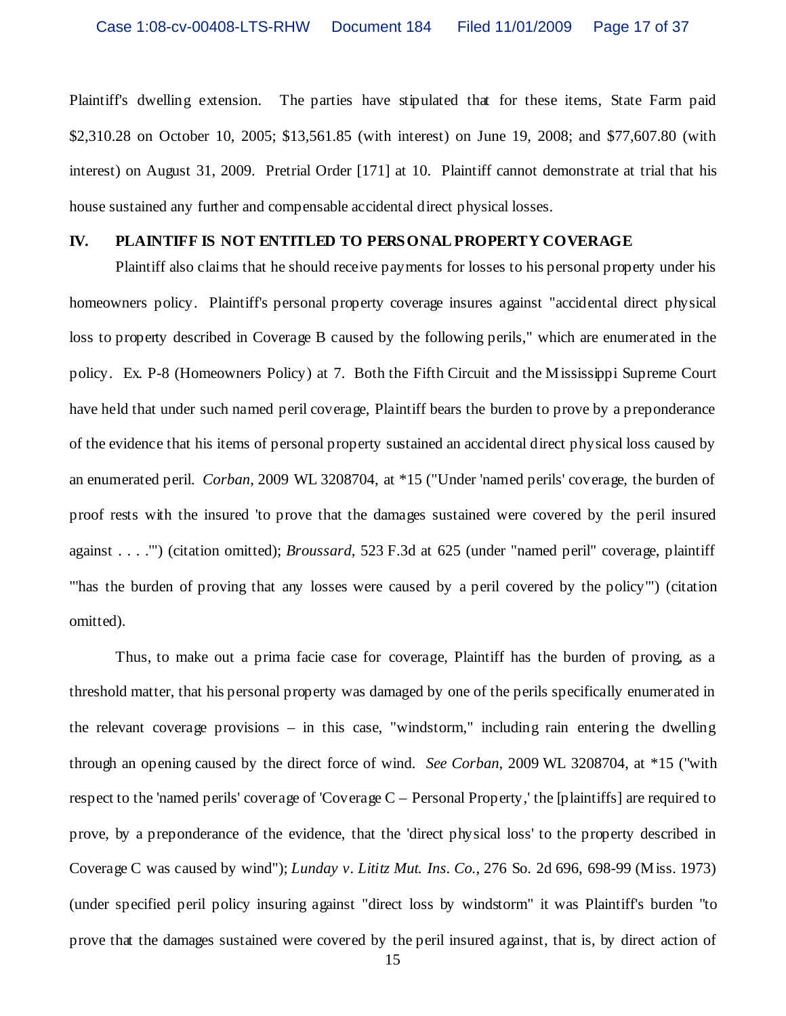Plaintiff's dwelling extension. The parties have stipulated that for these items, State Farm paid \$2,310.28 on October 10, 2005; \$13,561.85 (with interest) on June 19, 2008; and \$77,607.80 (with interest) on August 31, 2009. Pretrial Order [171] at 10. Plaintiff cannot demonstrate at trial that his house sustained any further and compensable accidental direct physical losses.

#### **IV. PLAINTIFF IS NOT ENTITLED TO PERSONAL PROPERTY COVERAGE**

Plaintiff also claims that he should receive payments for losses to his personal property under his homeowners policy. Plaintiff's personal property coverage insures against "accidental direct physical loss to property described in Coverage B caused by the following perils," which are enumerated in the policy. Ex. P-8 (Homeowners Policy) at 7. Both the Fifth Circuit and the Mississippi Supreme Court have held that under such named peril coverage, Plaintiff bears the burden to prove by a preponderance of the evidence that his items of personal property sustained an accidental direct physical loss caused by an enumerated peril. *Corban*, 2009 WL 3208704, at \*15 ("Under 'named perils' coverage, the burden of proof rests with the insured 'to prove that the damages sustained were covered by the peril insured against . . . .'") (citation omitted); *Broussard*, 523 F.3d at 625 (under "named peril" coverage, plaintiff "'has the burden of proving that any losses were caused by a peril covered by the policy'") (citation omitted).

Thus, to make out a prima facie case for coverage, Plaintiff has the burden of proving, as a threshold matter, that his personal property was damaged by one of the perils specifically enumerated in the relevant coverage provisions – in this case, "windstorm," including rain entering the dwelling through an opening caused by the direct force of wind. *See Corban*, 2009 WL 3208704, at \*15 ("with respect to the 'named perils' coverage of 'Coverage C – Personal Property,' the [plaintiffs] are required to prove, by a preponderance of the evidence, that the 'direct physical loss' to the property described in Coverage C was caused by wind"); *Lunday v. Lititz Mut. Ins. Co.*, 276 So. 2d 696, 698-99 (Miss. 1973) (under specified peril policy insuring against "direct loss by windstorm" it was Plaintiff's burden "to prove that the damages sustained were covered by the peril insured against, that is, by direct action of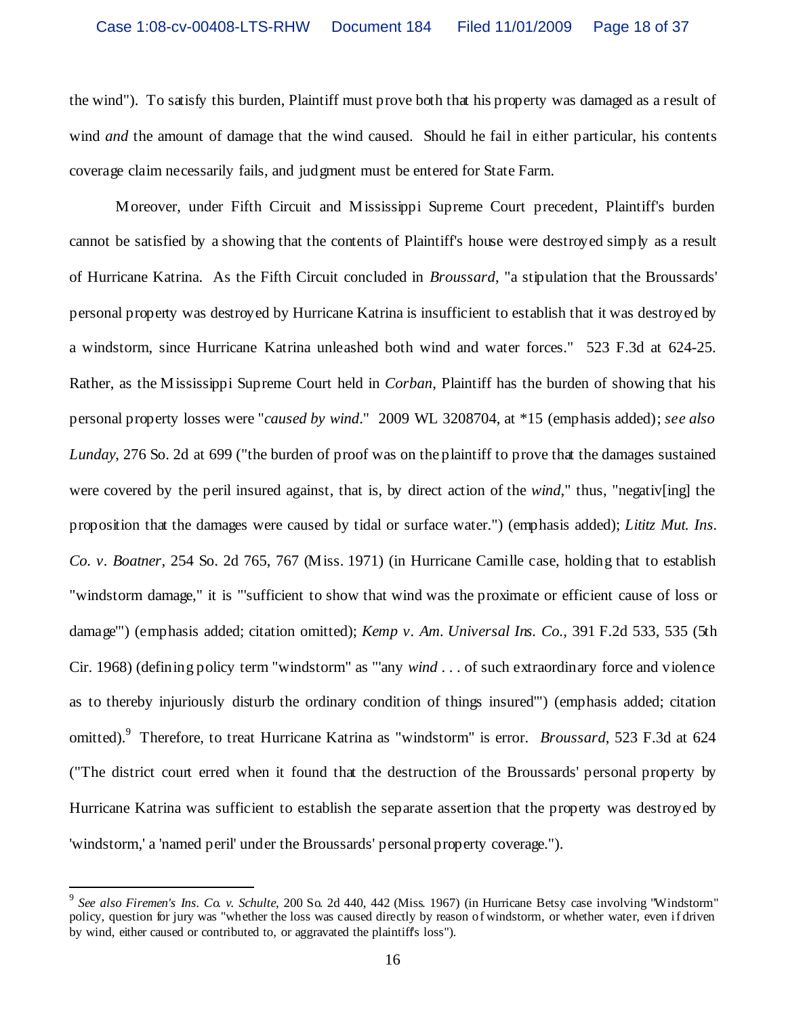the wind"). To satisfy this burden, Plaintiff must prove both that his property was damaged as a result of wind *and* the amount of damage that the wind caused. Should he fail in either particular, his contents coverage claim necessarily fails, and judgment must be entered for State Farm.

Moreover, under Fifth Circuit and Mississippi Supreme Court precedent, Plaintiff's burden cannot be satisfied by a showing that the contents of Plaintiff's house were destroyed simply as a result of Hurricane Katrina. As the Fifth Circuit concluded in *Broussard*, "a stipulation that the Broussards' personal property was destroyed by Hurricane Katrina is insufficient to establish that it was destroyed by a windstorm, since Hurricane Katrina unleashed both wind and water forces." 523 F.3d at 624-25. Rather, as the Mississippi Supreme Court held in *Corban*, Plaintiff has the burden of showing that his personal property losses were "*caused by wind*." 2009 WL 3208704, at \*15 (emphasis added); *see also Lunday*, 276 So. 2d at 699 ("the burden of proof was on the plaintiff to prove that the damages sustained were covered by the peril insured against, that is, by direct action of the *wind*," thus, "negativ[ing] the proposition that the damages were caused by tidal or surface water.") (emphasis added); *Lititz Mut. Ins. Co. v. Boatner*, 254 So. 2d 765, 767 (Miss. 1971) (in Hurricane Camille case, holding that to establish "windstorm damage," it is "'sufficient to show that wind was the proximate or efficient cause of loss or damage'") (emphasis added; citation omitted); *Kemp v. Am. Universal Ins. Co.*, 391 F.2d 533, 535 (5th Cir. 1968) (defining policy term "windstorm" as "'any *wind* . . . of such extraordinary force and violence as to thereby injuriously disturb the ordinary condition of things insured'") (emphasis added; citation omitted). <sup>9</sup> Therefore, to treat Hurricane Katrina as "windstorm" is error. *Broussard*, 523 F.3d at 624 ("The district court erred when it found that the destruction of the Broussards' personal property by Hurricane Katrina was sufficient to establish the separate assertion that the property was destroyed by 'windstorm,' a 'named peril' under the Broussards' personal property coverage.").

<sup>9</sup> *See also Firemen's Ins. Co. v. Schulte*, 200 So. 2d 440, 442 (Miss. 1967) (in Hurricane Betsy case involving "Windstorm" policy, question for jury was "whether the loss was caused directly by reason of windstorm, or whether water, even if driven by wind, either caused or contributed to, or aggravated the plaintiff's loss").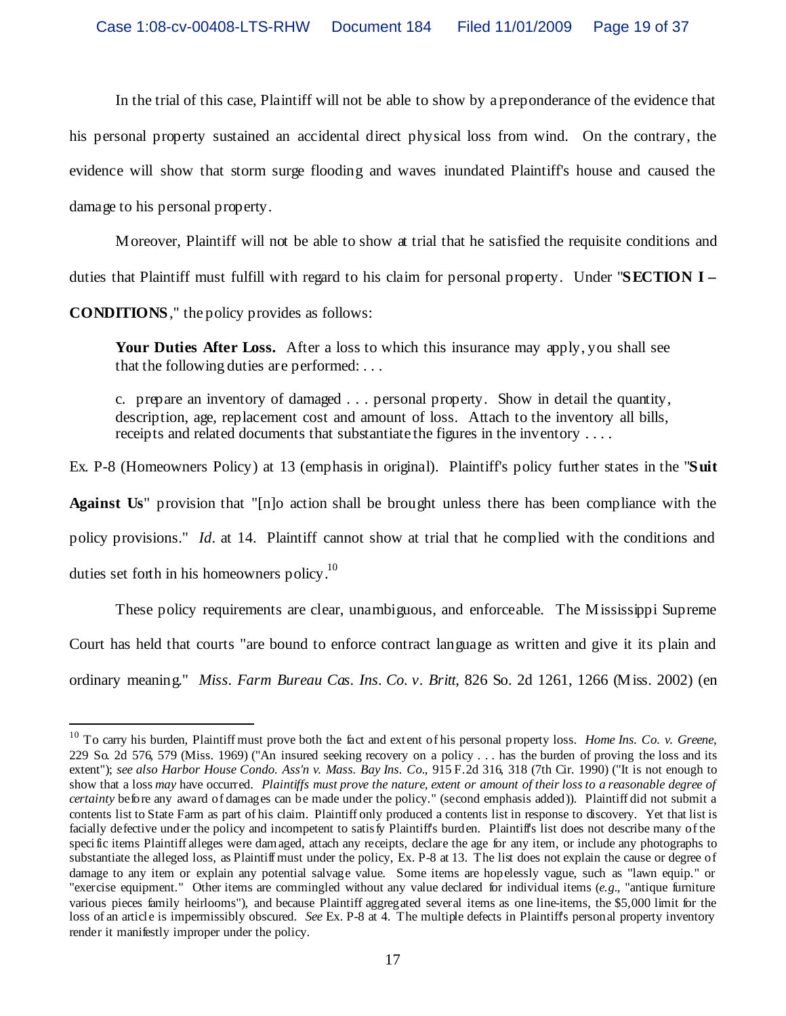In the trial of this case, Plaintiff will not be able to show by a preponderance of the evidence that his personal property sustained an accidental direct physical loss from wind. On the contrary, the evidence will show that storm surge flooding and waves inundated Plaintiff's house and caused the damage to his personal property.

Moreover, Plaintiff will not be able to show at trial that he satisfied the requisite conditions and

duties that Plaintiff must fulfill with regard to his claim for personal property. Under "**SECTION I –**

**CONDITIONS**," the policy provides as follows:

Your Duties After Loss. After a loss to which this insurance may apply, you shall see that the following duties are performed: . . .

c. prepare an inventory of damaged . . . personal property. Show in detail the quantity, description, age, replacement cost and amount of loss. Attach to the inventory all bills, receipts and related documents that substantiate the figures in the inventory . . . .

Ex. P-8 (Homeowners Policy) at 13 (emphasis in original). Plaintiff's policy further states in the "**Suit**

**Against Us**" provision that "[n]o action shall be brought unless there has been compliance with the

policy provisions." *Id*. at 14. Plaintiff cannot show at trial that he complied with the conditions and

duties set forth in his homeowners policy.<sup>10</sup>

These policy requirements are clear, unambiguous, and enforceable. The Mississippi Supreme Court has held that courts "are bound to enforce contract language as written and give it its plain and

ordinary meaning." *Miss. Farm Bureau Cas. Ins. Co. v. Britt*, 826 So. 2d 1261, 1266 (Miss. 2002) (en

<sup>10</sup> To carry his burden, Plaintiff must prove both the fact and extent of his personal property loss. *Home Ins. Co. v. Greene*, 229 So. 2d 576, 579 (Miss. 1969) ("An insured seeking recovery on a policy . . . has the burden of proving the loss and its extent"); *see also Harbor House Condo. Ass'n v. Mass. Bay Ins. Co.*, 915 F.2d 316, 318 (7th Cir. 1990) ("It is not enough to show that a loss *may* have occurred. *Plaintiffs must prove the nature, extent or amount of their loss to a reasonable degree of certainty* before any award of damages can be made under the policy." (second emphasis added)). Plaintiff did not submit a contents list to State Farm as part of his claim. Plaintiff only produced a contents list in response to discovery. Yet that list is facially defective under the policy and incompetent to satisfy Plaintiff's burden. Plaintiff's list does not describe many of the specific items Plaintiff alleges were damaged, attach any receipts, declare the age for any item, or include any photographs to substantiate the alleged loss, as Plaintiff must under the policy, Ex. P-8 at 13. The list does not explain the cause or degree of damage to any item or explain any potential salvage value. Some items are hopelessly vague, such as "lawn equip." or "exercise equipment." Other items are commingled without any value declared for individual items (*e.g.*, "antique furniture various pieces family heirlooms"), and because Plaintiff aggregated several items as one line-items, the \$5,000 limit for the loss of an article is impermissibly obscured. *See* Ex. P-8 at 4. The multiple defects in Plaintiff's personal property inventory render it manifestly improper under the policy.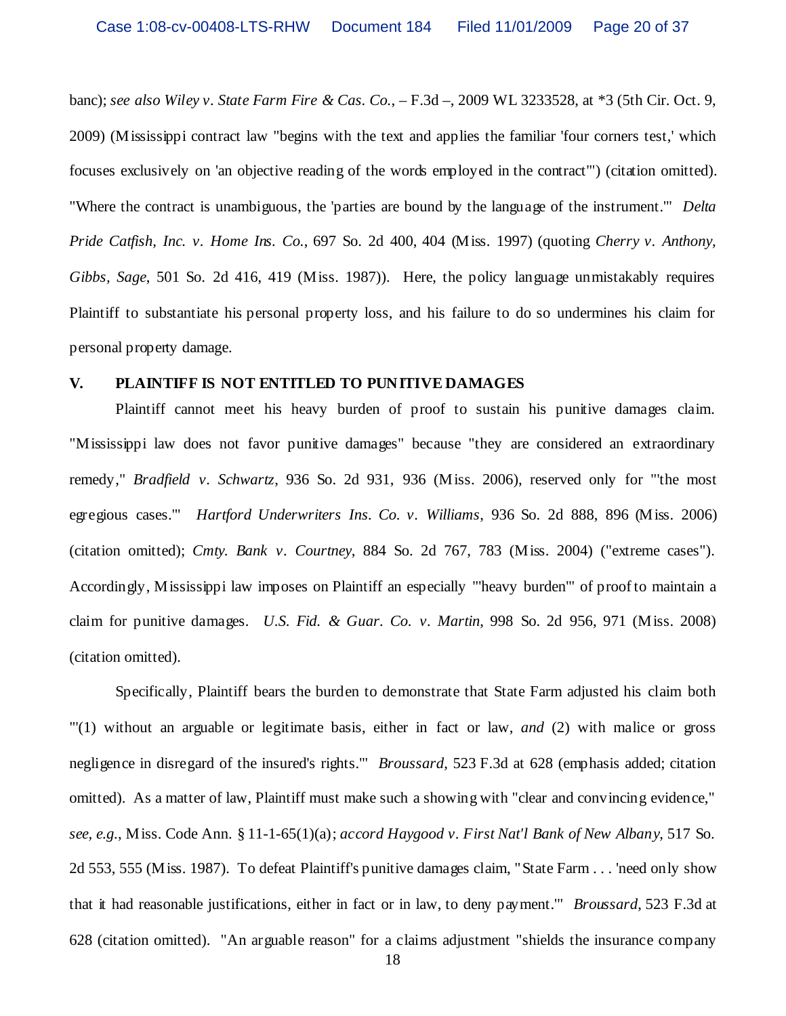banc); *see also Wiley v. State Farm Fire & Cas. Co.*, – F.3d –, 2009 WL 3233528, at \*3 (5th Cir. Oct. 9, 2009) (Mississippi contract law "begins with the text and applies the familiar 'four corners test,' which focuses exclusively on 'an objective reading of the words employed in the contract'") (citation omitted). "Where the contract is unambiguous, the 'parties are bound by the language of the instrument.'" *Delta Pride Catfish, Inc. v. Home Ins. Co.*, 697 So. 2d 400, 404 (Miss. 1997) (quoting *Cherry v. Anthony, Gibbs, Sage*, 501 So. 2d 416, 419 (Miss. 1987)). Here, the policy language unmistakably requires Plaintiff to substantiate his personal property loss, and his failure to do so undermines his claim for personal property damage.

#### **V. PLAINTIFF IS NOT ENTITLED TO PUNITIVE DAMAGES**

Plaintiff cannot meet his heavy burden of proof to sustain his punitive damages claim. "Mississippi law does not favor punitive damages" because "they are considered an extraordinary remedy," *Bradfield v. Schwartz*, 936 So. 2d 931, 936 (Miss. 2006), reserved only for "'the most egregious cases.'" *Hartford Underwriters Ins. Co. v. Williams*, 936 So. 2d 888, 896 (Miss. 2006) (citation omitted); *Cmty. Bank v. Courtney*, 884 So. 2d 767, 783 (Miss. 2004) ("extreme cases"). Accordingly, Mississippi law imposes on Plaintiff an especially "'heavy burden'" of proof to maintain a claim for punitive damages. *U.S. Fid. & Guar. Co. v. Martin*, 998 So. 2d 956, 971 (Miss. 2008) (citation omitted).

Specifically, Plaintiff bears the burden to demonstrate that State Farm adjusted his claim both "'(1) without an arguable or legitimate basis, either in fact or law, *and* (2) with malice or gross negligence in disregard of the insured's rights.'" *Broussard*, 523 F.3d at 628 (emphasis added; citation omitted). As a matter of law, Plaintiff must make such a showing with "clear and convincing evidence," *see, e.g.*, Miss. Code Ann. § 11-1-65(1)(a); *accord Haygood v. First Nat'l Bank of New Albany*, 517 So. 2d 553, 555 (Miss. 1987). To defeat Plaintiff's punitive damages claim, "State Farm . . . 'need only show that it had reasonable justifications, either in fact or in law, to deny payment.'" *Broussard*, 523 F.3d at 628 (citation omitted). "An arguable reason" for a claims adjustment "shields the insurance company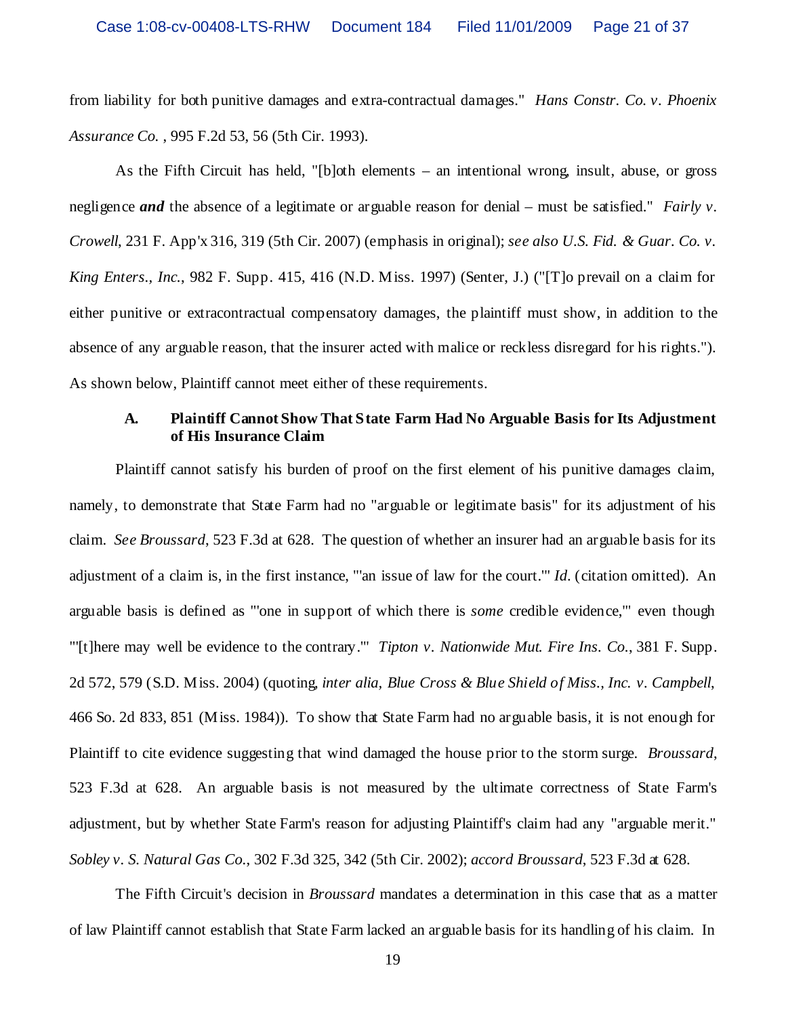from liability for both punitive damages and extra-contractual damages." *Hans Constr. Co. v. Phoenix Assurance Co.* , 995 F.2d 53, 56 (5th Cir. 1993).

As the Fifth Circuit has held, "[b]oth elements – an intentional wrong, insult, abuse, or gross negligence *and* the absence of a legitimate or arguable reason for denial – must be satisfied." *Fairly v. Crowell*, 231 F. App'x 316, 319 (5th Cir. 2007) (emphasis in original); *see also U.S. Fid. & Guar. Co. v. King Enters., Inc.*, 982 F. Supp. 415, 416 (N.D. Miss. 1997) (Senter, J.) ("[T]o prevail on a claim for either punitive or extracontractual compensatory damages, the plaintiff must show, in addition to the absence of any arguable reason, that the insurer acted with malice or reckless disregard for his rights."). As shown below, Plaintiff cannot meet either of these requirements.

# **A. Plaintiff Cannot Show That State Farm Had No Arguable Basis for Its Adjustment of His Insurance Claim**

Plaintiff cannot satisfy his burden of proof on the first element of his punitive damages claim, namely, to demonstrate that State Farm had no "arguable or legitimate basis" for its adjustment of his claim. *See Broussard*, 523 F.3d at 628. The question of whether an insurer had an arguable basis for its adjustment of a claim is, in the first instance, "'an issue of law for the court.'" *Id*. (citation omitted). An arguable basis is defined as "'one in support of which there is *some* credible evidence,'" even though "'[t]here may well be evidence to the contrary.'" *Tipton v. Nationwide Mut. Fire Ins. Co.*, 381 F. Supp. 2d 572, 579 (S.D. Miss. 2004) (quoting, *inter alia, Blue Cross & Blue Shield of Miss., Inc. v. Campbell*, 466 So. 2d 833, 851 (Miss. 1984)). To show that State Farm had no arguable basis, it is not enough for Plaintiff to cite evidence suggesting that wind damaged the house prior to the storm surge. *Broussard*, 523 F.3d at 628. An arguable basis is not measured by the ultimate correctness of State Farm's adjustment, but by whether State Farm's reason for adjusting Plaintiff's claim had any "arguable merit." *Sobley v. S. Natural Gas Co.*, 302 F.3d 325, 342 (5th Cir. 2002); *accord Broussard*, 523 F.3d at 628.

The Fifth Circuit's decision in *Broussard* mandates a determination in this case that as a matter of law Plaintiff cannot establish that State Farm lacked an arguable basis for its handling of his claim. In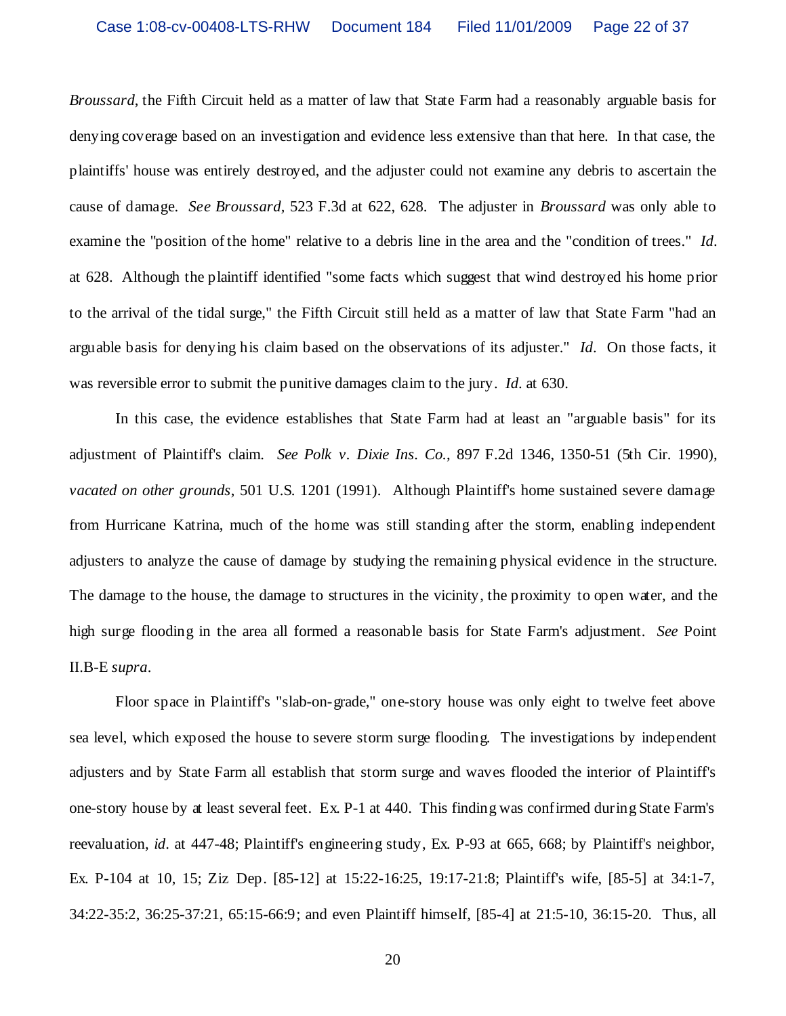*Broussard*, the Fifth Circuit held as a matter of law that State Farm had a reasonably arguable basis for denying coverage based on an investigation and evidence less extensive than that here. In that case, the plaintiffs' house was entirely destroyed, and the adjuster could not examine any debris to ascertain the cause of damage. *See Broussard,* 523 F.3d at 622, 628. The adjuster in *Broussard* was only able to examine the "position of the home" relative to a debris line in the area and the "condition of trees." *Id*. at 628. Although the plaintiff identified "some facts which suggest that wind destroyed his home prior to the arrival of the tidal surge," the Fifth Circuit still held as a matter of law that State Farm "had an arguable basis for denying his claim based on the observations of its adjuster." *Id*. On those facts, it was reversible error to submit the punitive damages claim to the jury. *Id*. at 630.

In this case, the evidence establishes that State Farm had at least an "arguable basis" for its adjustment of Plaintiff's claim. *See Polk v. Dixie Ins. Co.*, 897 F.2d 1346, 1350-51 (5th Cir. 1990), *vacated on other grounds*, 501 U.S. 1201 (1991). Although Plaintiff's home sustained severe damage from Hurricane Katrina, much of the home was still standing after the storm, enabling independent adjusters to analyze the cause of damage by studying the remaining physical evidence in the structure. The damage to the house, the damage to structures in the vicinity, the proximity to open water, and the high surge flooding in the area all formed a reasonable basis for State Farm's adjustment. *See* Point II.B-E *supra*.

Floor space in Plaintiff's "slab-on-grade," one-story house was only eight to twelve feet above sea level, which exposed the house to severe storm surge flooding. The investigations by independent adjusters and by State Farm all establish that storm surge and waves flooded the interior of Plaintiff's one-story house by at least several feet. Ex. P-1 at 440. This finding was confirmed during State Farm's reevaluation, *id*. at 447-48; Plaintiff's engineering study, Ex. P-93 at 665, 668; by Plaintiff's neighbor, Ex. P-104 at 10, 15; Ziz Dep. [85-12] at 15:22-16:25, 19:17-21:8; Plaintiff's wife, [85-5] at 34:1-7, 34:22-35:2, 36:25-37:21, 65:15-66:9; and even Plaintiff himself, [85-4] at 21:5-10, 36:15-20. Thus, all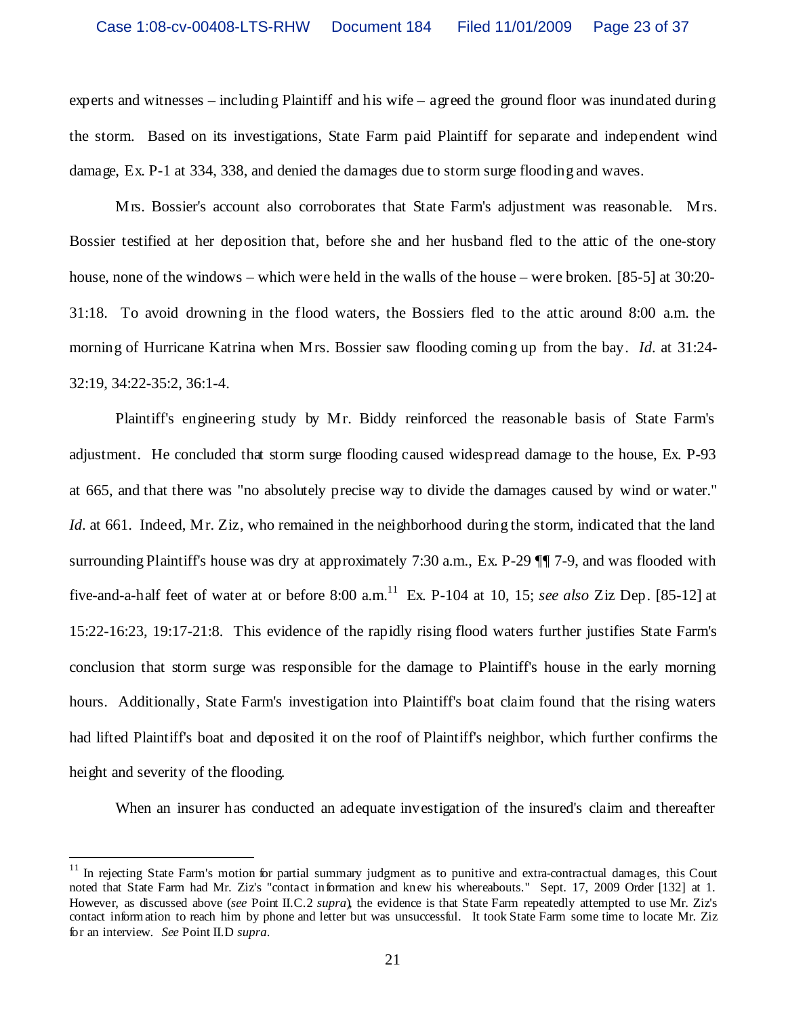experts and witnesses – including Plaintiff and his wife – agreed the ground floor was inundated during the storm. Based on its investigations, State Farm paid Plaintiff for separate and independent wind damage, Ex. P-1 at 334, 338, and denied the damages due to storm surge flooding and waves.

Mrs. Bossier's account also corroborates that State Farm's adjustment was reasonable. Mrs. Bossier testified at her deposition that, before she and her husband fled to the attic of the one-story house, none of the windows – which were held in the walls of the house – were broken. [85-5] at 30:20- 31:18. To avoid drowning in the flood waters, the Bossiers fled to the attic around 8:00 a.m. the morning of Hurricane Katrina when Mrs. Bossier saw flooding coming up from the bay. *Id*. at 31:24- 32:19, 34:22-35:2, 36:1-4.

Plaintiff's engineering study by Mr. Biddy reinforced the reasonable basis of State Farm's adjustment. He concluded that storm surge flooding caused widespread damage to the house, Ex. P-93 at 665, and that there was "no absolutely precise way to divide the damages caused by wind or water." *Id.* at 661. Indeed, Mr. Ziz, who remained in the neighborhood during the storm, indicated that the land surrounding Plaintiff's house was dry at approximately 7:30 a.m., Ex. P-29 ¶¶ 7-9, and was flooded with five-and-a-half feet of water at or before 8:00  $\text{a.m.}^{11}$  Ex. P-104 at 10, 15; *see also* Ziz Dep. [85-12] at 15:22-16:23, 19:17-21:8. This evidence of the rapidly rising flood waters further justifies State Farm's conclusion that storm surge was responsible for the damage to Plaintiff's house in the early morning hours. Additionally, State Farm's investigation into Plaintiff's boat claim found that the rising waters had lifted Plaintiff's boat and deposited it on the roof of Plaintiff's neighbor, which further confirms the height and severity of the flooding.

When an insurer has conducted an adequate investigation of the insured's claim and thereafter

 $11$  In rejecting State Farm's motion for partial summary judgment as to punitive and extra-contractual damages, this Court noted that State Farm had Mr. Ziz's "contact information and knew his whereabouts." Sept. 17, 2009 Order [132] at 1. However, as discussed above (*see* Point II.C.2 *supra*), the evidence is that State Farm repeatedly attempted to use Mr. Ziz's contact information to reach him by phone and letter but was unsuccessful. It took State Farm some time to locate Mr. Ziz for an interview. *See* Point II.D *supra*.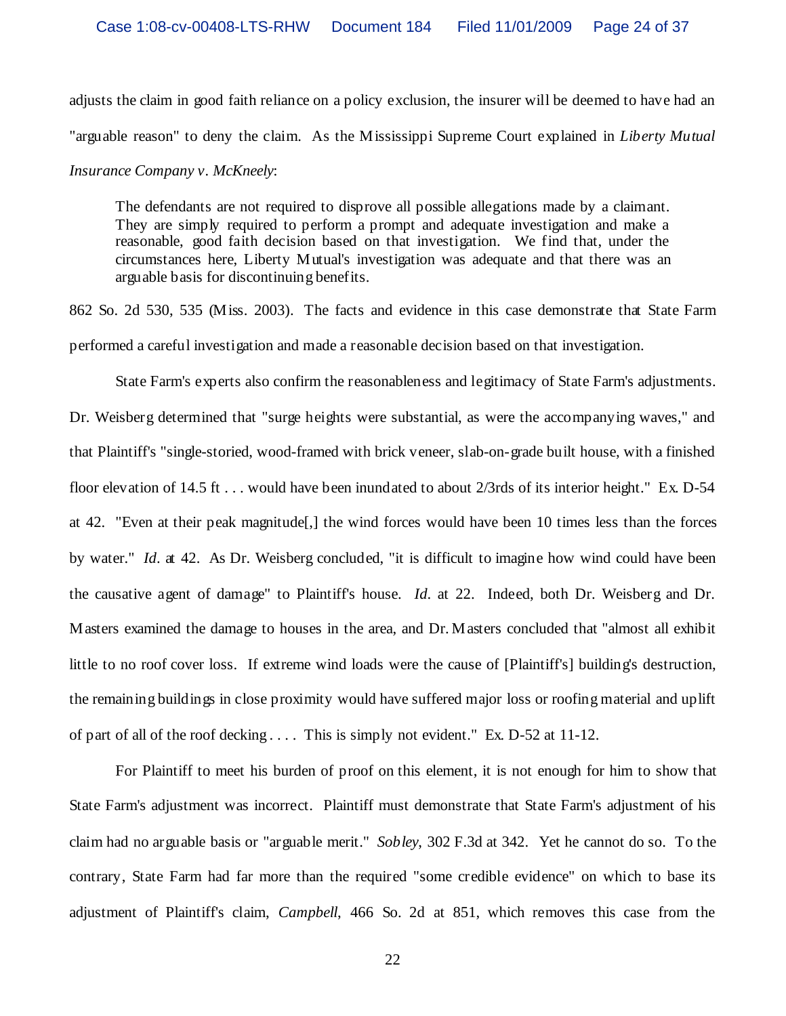adjusts the claim in good faith reliance on a policy exclusion, the insurer will be deemed to have had an "arguable reason" to deny the claim. As the Mississippi Supreme Court explained in *Liberty Mutual Insurance Company v. McKneely*:

The defendants are not required to disprove all possible allegations made by a claimant. They are simply required to perform a prompt and adequate investigation and make a reasonable, good faith decision based on that investigation. We find that, under the circumstances here, Liberty Mutual's investigation was adequate and that there was an arguable basis for discontinuing benefits.

862 So. 2d 530, 535 (Miss. 2003). The facts and evidence in this case demonstrate that State Farm performed a careful investigation and made a reasonable decision based on that investigation.

State Farm's experts also confirm the reasonableness and legitimacy of State Farm's adjustments. Dr. Weisberg determined that "surge heights were substantial, as were the accompanying waves," and that Plaintiff's "single-storied, wood-framed with brick veneer, slab-on-grade built house, with a finished floor elevation of 14.5 ft . . . would have been inundated to about 2/3rds of its interior height." Ex. D-54 at 42. "Even at their peak magnitude[,] the wind forces would have been 10 times less than the forces by water." *Id*. at 42. As Dr. Weisberg concluded, "it is difficult to imagine how wind could have been the causative agent of damage" to Plaintiff's house. *Id*. at 22. Indeed, both Dr. Weisberg and Dr. Masters examined the damage to houses in the area, and Dr. Masters concluded that "almost all exhibit little to no roof cover loss. If extreme wind loads were the cause of [Plaintiff's] building's destruction, the remaining buildings in close proximity would have suffered major loss or roofing material and uplift of part of all of the roof decking . . . . This is simply not evident." Ex. D-52 at 11-12.

For Plaintiff to meet his burden of proof on this element, it is not enough for him to show that State Farm's adjustment was incorrect. Plaintiff must demonstrate that State Farm's adjustment of his claim had no arguable basis or "arguable merit." *Sobley*, 302 F.3d at 342. Yet he cannot do so. To the contrary, State Farm had far more than the required "some credible evidence" on which to base its adjustment of Plaintiff's claim, *Campbell*, 466 So. 2d at 851, which removes this case from the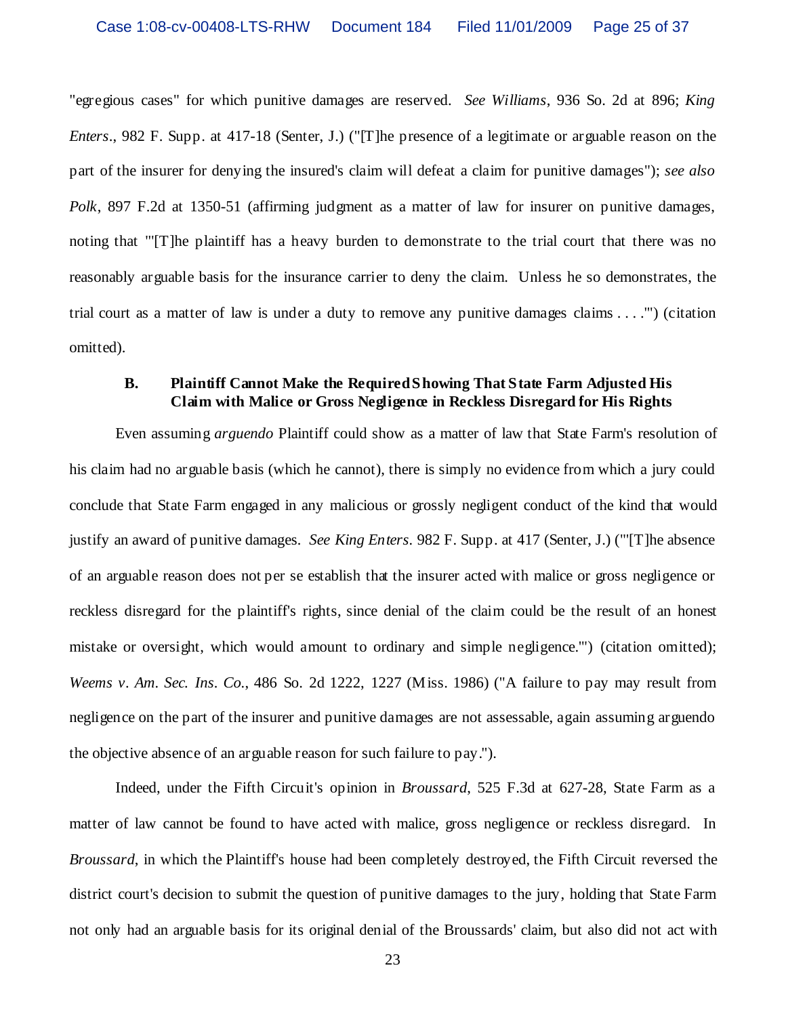"egregious cases" for which punitive damages are reserved. *See Williams*, 936 So. 2d at 896; *King Enters*., 982 F. Supp. at 417-18 (Senter, J.) ("[T]he presence of a legitimate or arguable reason on the part of the insurer for denying the insured's claim will defeat a claim for punitive damages"); *see also Polk*, 897 F.2d at 1350-51 (affirming judgment as a matter of law for insurer on punitive damages, noting that "'[T]he plaintiff has a heavy burden to demonstrate to the trial court that there was no reasonably arguable basis for the insurance carrier to deny the claim. Unless he so demonstrates, the trial court as a matter of law is under a duty to remove any punitive damages claims . . . .'") (citation omitted).

# **B. Plaintiff Cannot Make the RequiredShowing That State Farm Adjusted His Claim with Malice or Gross Negligence in Reckless Disregard for His Rights**

Even assuming *arguendo* Plaintiff could show as a matter of law that State Farm's resolution of his claim had no arguable basis (which he cannot), there is simply no evidence from which a jury could conclude that State Farm engaged in any malicious or grossly negligent conduct of the kind that would justify an award of punitive damages*. See King Enters.* 982 F. Supp. at 417 (Senter, J.) ("'[T]he absence of an arguable reason does not per se establish that the insurer acted with malice or gross negligence or reckless disregard for the plaintiff's rights, since denial of the claim could be the result of an honest mistake or oversight, which would amount to ordinary and simple negligence.'") (citation omitted); *Weems v. Am. Sec. Ins. Co.*, 486 So. 2d 1222, 1227 (Miss. 1986) ("A failure to pay may result from negligence on the part of the insurer and punitive damages are not assessable, again assuming arguendo the objective absence of an arguable reason for such failure to pay.").

Indeed, under the Fifth Circuit's opinion in *Broussard*, 525 F.3d at 627-28, State Farm as a matter of law cannot be found to have acted with malice, gross negligence or reckless disregard. In *Broussard*, in which the Plaintiff's house had been completely destroyed, the Fifth Circuit reversed the district court's decision to submit the question of punitive damages to the jury, holding that State Farm not only had an arguable basis for its original denial of the Broussards' claim, but also did not act with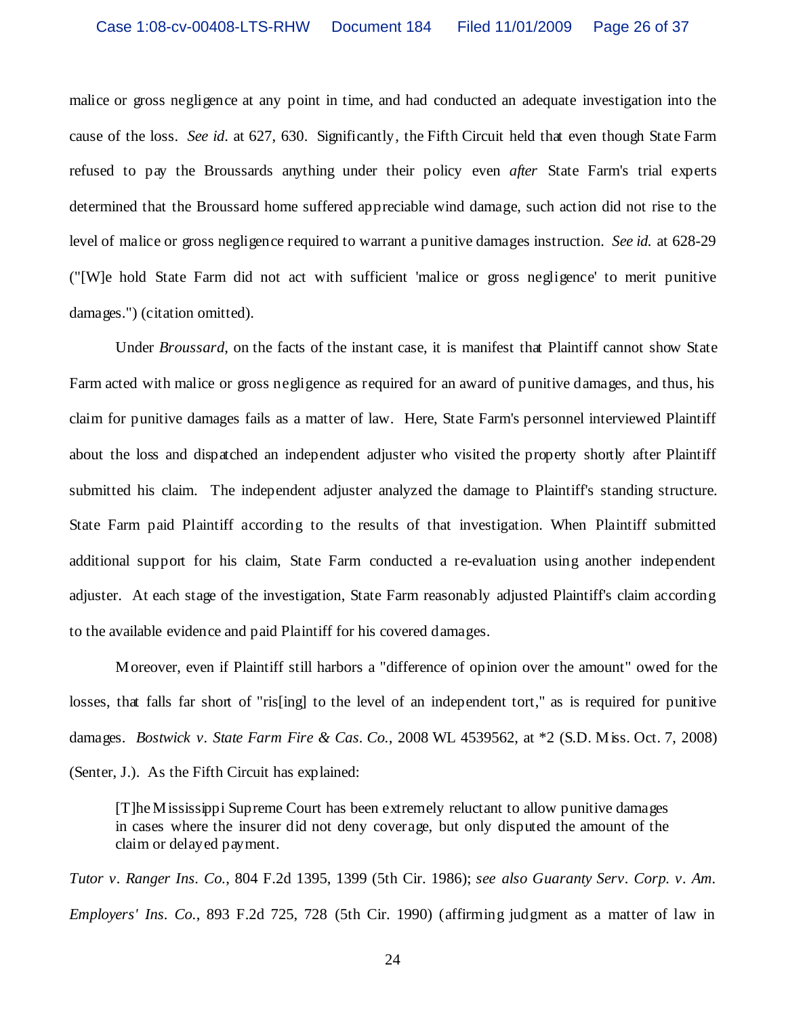malice or gross negligence at any point in time, and had conducted an adequate investigation into the cause of the loss. *See id*. at 627, 630. Significantly, the Fifth Circuit held that even though State Farm refused to pay the Broussards anything under their policy even *after* State Farm's trial experts determined that the Broussard home suffered appreciable wind damage, such action did not rise to the level of malice or gross negligence required to warrant a punitive damages instruction. *See id.* at 628-29 ("[W]e hold State Farm did not act with sufficient 'malice or gross negligence' to merit punitive damages.") (citation omitted).

Under *Broussard*, on the facts of the instant case, it is manifest that Plaintiff cannot show State Farm acted with malice or gross negligence as required for an award of punitive damages, and thus, his claim for punitive damages fails as a matter of law. Here, State Farm's personnel interviewed Plaintiff about the loss and dispatched an independent adjuster who visited the property shortly after Plaintiff submitted his claim. The independent adjuster analyzed the damage to Plaintiff's standing structure. State Farm paid Plaintiff according to the results of that investigation. When Plaintiff submitted additional support for his claim, State Farm conducted a re-evaluation using another independent adjuster. At each stage of the investigation, State Farm reasonably adjusted Plaintiff's claim according to the available evidence and paid Plaintiff for his covered damages.

Moreover, even if Plaintiff still harbors a "difference of opinion over the amount" owed for the losses, that falls far short of "ris[ing] to the level of an independent tort," as is required for punitive damages. *Bostwick v. State Farm Fire & Cas. Co.*, 2008 WL 4539562, at \*2 (S.D. Miss. Oct. 7, 2008) (Senter, J.). As the Fifth Circuit has explained:

[T]he Mississippi Supreme Court has been extremely reluctant to allow punitive damages in cases where the insurer did not deny coverage, but only disputed the amount of the claim or delayed payment.

*Tutor v. Ranger Ins. Co.*, 804 F.2d 1395, 1399 (5th Cir. 1986); *see also Guaranty Serv. Corp. v. Am. Employers' Ins. Co.*, 893 F.2d 725, 728 (5th Cir. 1990) (affirming judgment as a matter of law in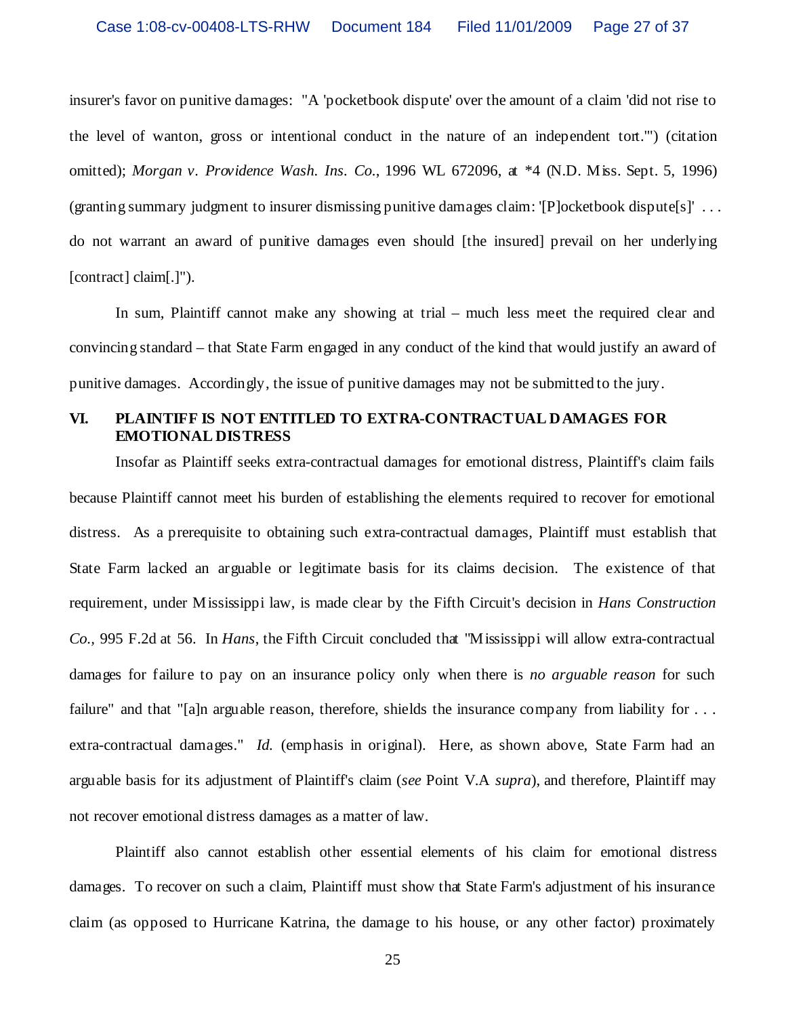insurer's favor on punitive damages: "A 'pocketbook dispute' over the amount of a claim 'did not rise to the level of wanton, gross or intentional conduct in the nature of an independent tort.'") (citation omitted); *Morgan v. Providence Wash. Ins. Co.*, 1996 WL 672096, at \*4 (N.D. Miss. Sept. 5, 1996) (granting summary judgment to insurer dismissing punitive damages claim: '[P]ocketbook dispute[s]' . . . do not warrant an award of punitive damages even should [the insured] prevail on her underlying [contract] claim[.]").

In sum, Plaintiff cannot make any showing at trial – much less meet the required clear and convincing standard – that State Farm engaged in any conduct of the kind that would justify an award of punitive damages. Accordingly, the issue of punitive damages may not be submitted to the jury.

# **VI. PLAINTIFF IS NOT ENTITLED TO EXTRA-CONTRACTUAL DAMAGES FOR EMOTIONAL DISTRESS**

Insofar as Plaintiff seeks extra-contractual damages for emotional distress, Plaintiff's claim fails because Plaintiff cannot meet his burden of establishing the elements required to recover for emotional distress. As a prerequisite to obtaining such extra-contractual damages, Plaintiff must establish that State Farm lacked an arguable or legitimate basis for its claims decision. The existence of that requirement, under Mississippi law, is made clear by the Fifth Circuit's decision in *Hans Construction Co.,* 995 F.2d at 56. In *Hans*, the Fifth Circuit concluded that "Mississippi will allow extra-contractual damages for failure to pay on an insurance policy only when there is *no arguable reason* for such failure" and that "[a]n arguable reason, therefore, shields the insurance company from liability for ... extra-contractual damages." *Id.* (emphasis in original). Here, as shown above, State Farm had an arguable basis for its adjustment of Plaintiff's claim (*see* Point V.A *supra*), and therefore, Plaintiff may not recover emotional distress damages as a matter of law.

Plaintiff also cannot establish other essential elements of his claim for emotional distress damages. To recover on such a claim, Plaintiff must show that State Farm's adjustment of his insurance claim (as opposed to Hurricane Katrina, the damage to his house, or any other factor) proximately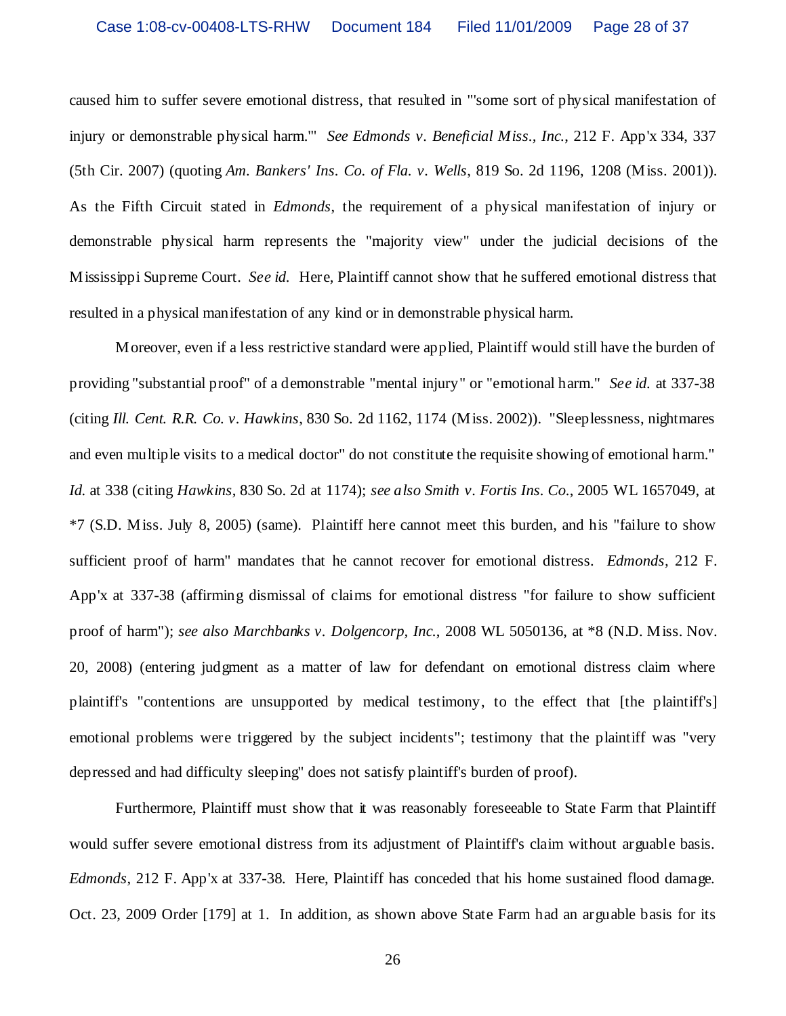caused him to suffer severe emotional distress, that resulted in "'some sort of physical manifestation of injury or demonstrable physical harm.'" *See Edmonds v. Beneficial Miss., Inc.*, 212 F. App'x 334, 337 (5th Cir. 2007) (quoting *Am. Bankers' Ins. Co. of Fla. v. Wells*, 819 So. 2d 1196, 1208 (Miss. 2001)). As the Fifth Circuit stated in *Edmonds*, the requirement of a physical manifestation of injury or demonstrable physical harm represents the "majority view" under the judicial decisions of the Mississippi Supreme Court. *See id.* Here, Plaintiff cannot show that he suffered emotional distress that resulted in a physical manifestation of any kind or in demonstrable physical harm.

Moreover, even if a less restrictive standard were applied, Plaintiff would still have the burden of providing "substantial proof" of a demonstrable "mental injury" or "emotional harm." *See id.* at 337-38 (citing *Ill. Cent. R.R. Co. v. Hawkins*, 830 So. 2d 1162, 1174 (Miss. 2002)). "Sleeplessness, nightmares and even multiple visits to a medical doctor" do not constitute the requisite showing of emotional harm." *Id.* at 338 (citing *Hawkins*, 830 So. 2d at 1174); *see also Smith v. Fortis Ins. Co.*, 2005 WL 1657049, at \*7 (S.D. Miss. July 8, 2005) (same). Plaintiff here cannot meet this burden, and his "failure to show sufficient proof of harm" mandates that he cannot recover for emotional distress. *Edmonds,* 212 F. App'x at 337-38 (affirming dismissal of claims for emotional distress "for failure to show sufficient proof of harm"); *see also Marchbanks v. Dolgencorp, Inc.*, 2008 WL 5050136, at \*8 (N.D. Miss. Nov. 20, 2008) (entering judgment as a matter of law for defendant on emotional distress claim where plaintiff's "contentions are unsupported by medical testimony, to the effect that [the plaintiff's] emotional problems were triggered by the subject incidents"; testimony that the plaintiff was "very depressed and had difficulty sleeping" does not satisfy plaintiff's burden of proof).

Furthermore, Plaintiff must show that it was reasonably foreseeable to State Farm that Plaintiff would suffer severe emotional distress from its adjustment of Plaintiff's claim without arguable basis. *Edmonds*, 212 F. App'x at 337-38*.* Here, Plaintiff has conceded that his home sustained flood damage. Oct. 23, 2009 Order [179] at 1. In addition, as shown above State Farm had an arguable basis for its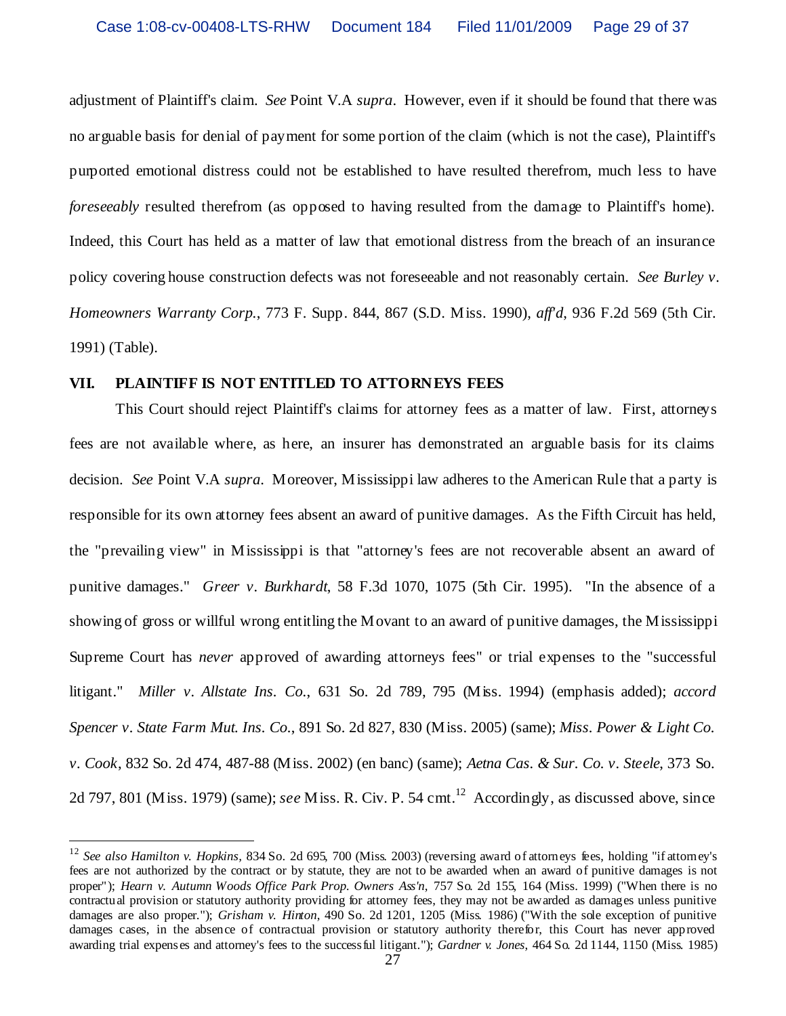adjustment of Plaintiff's claim. *See* Point V.A *supra*. However, even if it should be found that there was no arguable basis for denial of payment for some portion of the claim (which is not the case), Plaintiff's purported emotional distress could not be established to have resulted therefrom, much less to have *foreseeably* resulted therefrom (as opposed to having resulted from the damage to Plaintiff's home). Indeed, this Court has held as a matter of law that emotional distress from the breach of an insurance policy covering house construction defects was not foreseeable and not reasonably certain. *See Burley v. Homeowners Warranty Corp.*, 773 F. Supp. 844, 867 (S.D. Miss. 1990), *aff'd*, 936 F.2d 569 (5th Cir. 1991) (Table).

#### **VII. PLAINTIFF IS NOT ENTITLED TO ATTORNEYS FEES**

This Court should reject Plaintiff's claims for attorney fees as a matter of law. First, attorneys fees are not available where, as here, an insurer has demonstrated an arguable basis for its claims decision. *See* Point V.A *supra*. Moreover, Mississippi law adheres to the American Rule that a party is responsible for its own attorney fees absent an award of punitive damages. As the Fifth Circuit has held, the "prevailing view" in Mississippi is that "attorney's fees are not recoverable absent an award of punitive damages." *Greer v. Burkhardt*, 58 F.3d 1070, 1075 (5th Cir. 1995). "In the absence of a showing of gross or willful wrong entitling the Movant to an award of punitive damages, the Mississippi Supreme Court has *never* approved of awarding attorneys fees" or trial expenses to the "successful litigant." *Miller v. Allstate Ins. Co.*, 631 So. 2d 789, 795 (Miss. 1994) (emphasis added); *accord Spencer v. State Farm Mut. Ins. Co.*, 891 So. 2d 827, 830 (Miss. 2005) (same); *Miss. Power & Light Co. v. Cook*, 832 So. 2d 474, 487-88 (Miss. 2002) (en banc) (same); *Aetna Cas. & Sur. Co. v. Steele*, 373 So. 2d 797, 801 (Miss. 1979) (same); *see* Miss. R. Civ. P. 54 cmt.<sup>12</sup> Accordingly, as discussed above, since

<sup>12</sup> *See also Hamilton v. Hopkins,* 834 So. 2d 695, 700 (Miss. 2003) (reversing award of attorneys fees, holding "if attorney's fees are not authorized by the contract or by statute, they are not to be awarded when an award of punitive damages is not proper"); *Hearn v. Autumn Woods Office Park Prop. Owners Ass'n*, 757 So. 2d 155, 164 (Miss. 1999) ("When there is no contractual provision or statutory authority providing for attorney fees, they may not be awarded as damages unless punitive damages are also proper."); *Grisham v. Hinton*, 490 So. 2d 1201, 1205 (Miss. 1986) ("With the sole exception of punitive damages cases, in the absence of contractual provision or statutory authority therefor, this Court has never approved awarding trial expenses and attorney's fees to the successful litigant."); *Gardner v. Jones*, 464 So. 2d 1144, 1150 (Miss. 1985)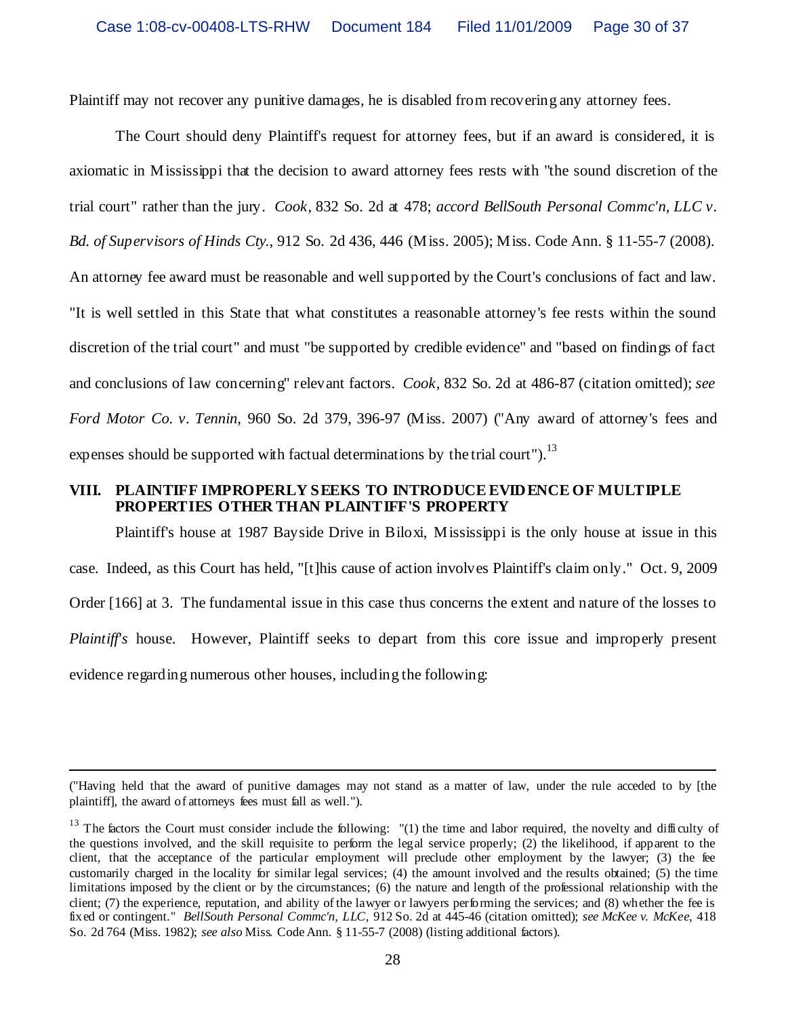Plaintiff may not recover any punitive damages, he is disabled from recovering any attorney fees.

The Court should deny Plaintiff's request for attorney fees, but if an award is considered, it is axiomatic in Mississippi that the decision to award attorney fees rests with "the sound discretion of the trial court" rather than the jury. *Cook*, 832 So. 2d at 478; *accord BellSouth Personal Commc'n, LLC v. Bd. of Supervisors of Hinds Cty.*, 912 So. 2d 436, 446 (Miss. 2005); Miss. Code Ann. § 11-55-7 (2008). An attorney fee award must be reasonable and well supported by the Court's conclusions of fact and law. "It is well settled in this State that what constitutes a reasonable attorney's fee rests within the sound discretion of the trial court" and must "be supported by credible evidence" and "based on findings of fact and conclusions of law concerning" relevant factors. *Cook*, 832 So. 2d at 486-87 (citation omitted); *see Ford Motor Co. v. Tennin*, 960 So. 2d 379, 396-97 (Miss. 2007) ("Any award of attorney's fees and expenses should be supported with factual determinations by the trial court").<sup>13</sup>

# **VIII. PLAINTIFF IMPROPERLY SEEKS TO INTRODUCEEVIDENCE OF MULTIPLE PROPERTIES OTHER THAN PLAINTIFF'S PROPERTY**

Plaintiff's house at 1987 Bayside Drive in Biloxi, Mississippi is the only house at issue in this case. Indeed, as this Court has held, "[t]his cause of action involves Plaintiff's claim only." Oct. 9, 2009 Order [166] at 3. The fundamental issue in this case thus concerns the extent and nature of the losses to *Plaintiff's* house. However, Plaintiff seeks to depart from this core issue and improperly present evidence regarding numerous other houses, including the following:

<sup>(&</sup>quot;Having held that the award of punitive damages may not stand as a matter of law, under the rule acceded to by [the plaintiff], the award of attorneys fees must fall as well.").

<sup>&</sup>lt;sup>13</sup> The factors the Court must consider include the following: "(1) the time and labor required, the novelty and difficulty of the questions involved, and the skill requisite to perform the legal service properly; (2) the likelihood, if apparent to the client, that the acceptance of the particular employment will preclude other employment by the lawyer; (3) the fee customarily charged in the locality for similar legal services; (4) the amount involved and the results obtained; (5) the time limitations imposed by the client or by the circumstances; (6) the nature and length of the professional relationship with the client; (7) the experience, reputation, and ability of the lawyer or lawyers performing the services; and (8) whether the fee is fixed or contingent." *BellSouth Personal Commc'n, LLC*, 912 So. 2d at 445-46 (citation omitted); *see McKee v. McKee*, 418 So. 2d 764 (Miss. 1982); *see also* Miss. Code Ann. § 11-55-7 (2008) (listing additional factors).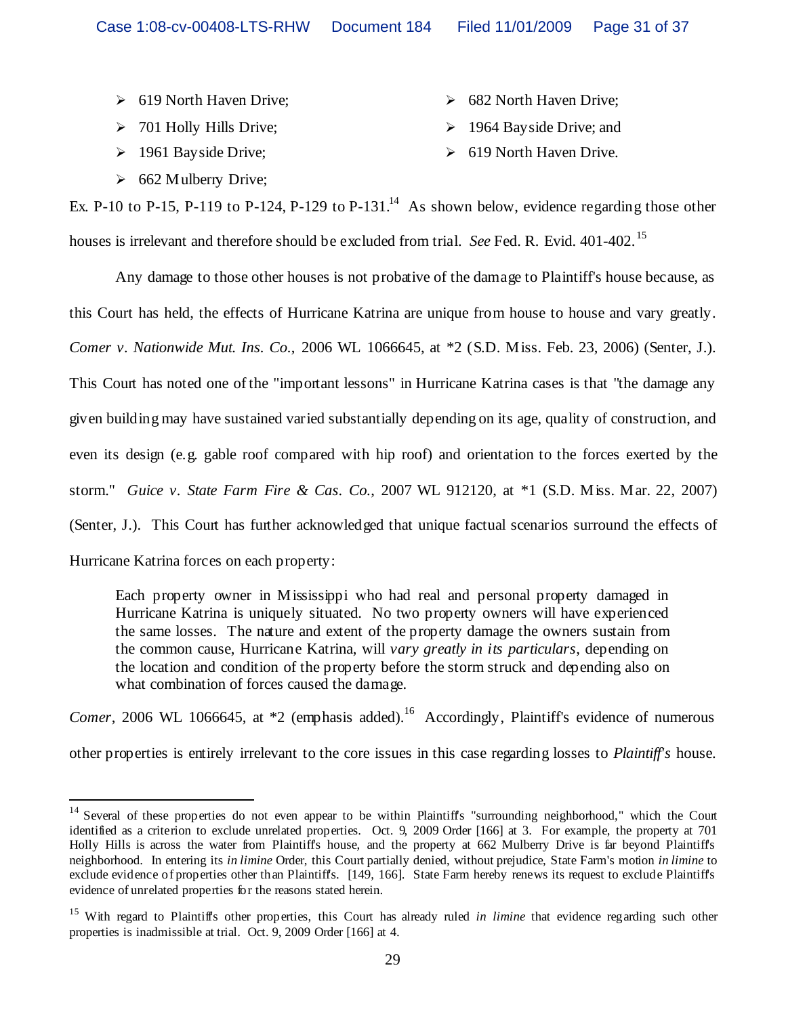- 619 North Haven Drive; 682 North Haven Drive;
- > 701 Holly Hills Drive;  $\rightarrow$  1964 Bayside Drive; and
- 
- 1961 Bayside Drive; 619 North Haven Drive.

 $\geq 662$  Mulberry Drive;

- 
- Ex. P-10 to P-15, P-119 to P-124, P-129 to P-131.<sup>14</sup> As shown below, evidence regarding those other houses is irrelevant and therefore should be excluded from trial. *See* Fed. R. Evid. 401-402.<sup>15</sup>

Any damage to those other houses is not probative of the damage to Plaintiff's house because, as this Court has held, the effects of Hurricane Katrina are unique from house to house and vary greatly. *Comer v. Nationwide Mut. Ins. Co.*, 2006 WL 1066645, at \*2 (S.D. Miss. Feb. 23, 2006) (Senter, J.). This Court has noted one of the "important lessons" in Hurricane Katrina cases is that "the damage any given building may have sustained varied substantially depending on its age, quality of construction, and even its design (e.g. gable roof compared with hip roof) and orientation to the forces exerted by the storm." *Guice v. State Farm Fire & Cas. Co.*, 2007 WL 912120, at \*1 (S.D. Miss. Mar. 22, 2007) (Senter, J.). This Court has further acknowledged that unique factual scenarios surround the effects of Hurricane Katrina forces on each property:

Each property owner in Mississippi who had real and personal property damaged in Hurricane Katrina is uniquely situated. No two property owners will have experienced the same losses. The nature and extent of the property damage the owners sustain from the common cause, Hurricane Katrina, will *vary greatly in its particulars*, depending on the location and condition of the property before the storm struck and depending also on what combination of forces caused the damage.

*Comer*, 2006 WL 1066645, at  $*2$  (emphasis added).<sup>16</sup> Accordingly, Plaintiff's evidence of numerous

other properties is entirely irrelevant to the core issues in this case regarding losses to *Plaintiff's* house.

<sup>&</sup>lt;sup>14</sup> Several of these properties do not even appear to be within Plaintiff's "surrounding neighborhood," which the Court identified as a criterion to exclude unrelated properties. Oct. 9, 2009 Order [166] at 3. For example, the property at 701 Holly Hills is across the water from Plaintiff's house, and the property at 662 Mulberry Drive is far beyond Plaintiff's neighborhood. In entering its *in limine* Order, this Court partially denied, without prejudice, State Farm's motion *in limine* to exclude evidence of properties other than Plaintiffs. [149, 166]. State Farm hereby renews its request to exclude Plaintiff's evidence of unrelated properties for the reasons stated herein.

<sup>&</sup>lt;sup>15</sup> With regard to Plaintiff's other properties, this Court has already ruled *in limine* that evidence regarding such other properties is inadmissible at trial. Oct. 9, 2009 Order [166] at 4.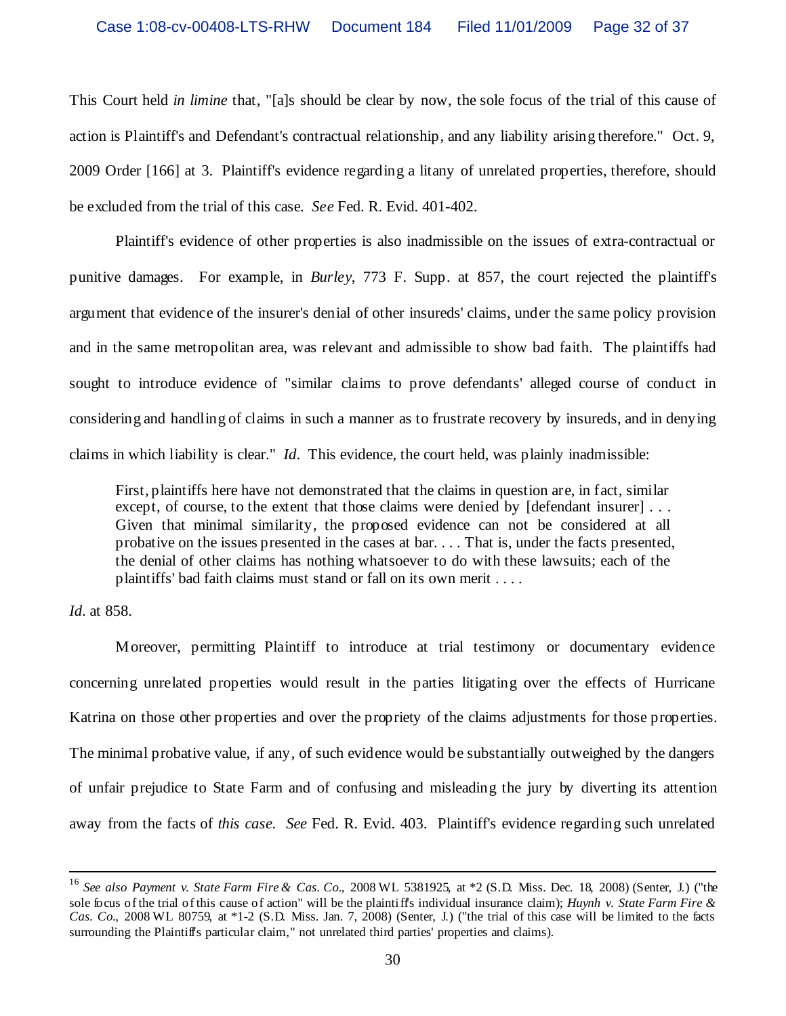This Court held *in limine* that, "[a]s should be clear by now, the sole focus of the trial of this cause of action is Plaintiff's and Defendant's contractual relationship, and any liability arising therefore." Oct. 9, 2009 Order [166] at 3. Plaintiff's evidence regarding a litany of unrelated properties, therefore, should be excluded from the trial of this case. *See* Fed. R. Evid. 401-402.

Plaintiff's evidence of other properties is also inadmissible on the issues of extra-contractual or punitive damages. For example, in *Burley*, 773 F. Supp. at 857, the court rejected the plaintiff's argument that evidence of the insurer's denial of other insureds' claims, under the same policy provision and in the same metropolitan area, was relevant and admissible to show bad faith. The plaintiffs had sought to introduce evidence of "similar claims to prove defendants' alleged course of conduct in considering and handling of claims in such a manner as to frustrate recovery by insureds, and in denying claims in which liability is clear." *Id*. This evidence, the court held, was plainly inadmissible:

First, plaintiffs here have not demonstrated that the claims in question are, in fact, similar except, of course, to the extent that those claims were denied by [defendant insurer] ... Given that minimal similarity, the proposed evidence can not be considered at all probative on the issues presented in the cases at bar. . . . That is, under the facts presented, the denial of other claims has nothing whatsoever to do with these lawsuits; each of the plaintiffs' bad faith claims must stand or fall on its own merit . . . .

#### *Id*. at 858.

Moreover, permitting Plaintiff to introduce at trial testimony or documentary evidence concerning unrelated properties would result in the parties litigating over the effects of Hurricane Katrina on those other properties and over the propriety of the claims adjustments for those properties. The minimal probative value, if any, of such evidence would be substantially outweighed by the dangers of unfair prejudice to State Farm and of confusing and misleading the jury by diverting its attention away from the facts of *this case*. *See* Fed. R. Evid. 403. Plaintiff's evidence regarding such unrelated

<sup>16</sup> *See also Payment v. State Farm Fire & Cas. Co.*, 2008 WL 5381925, at \*2 (S.D. Miss. Dec. 18, 2008) (Senter, J.) ("the sole focus of the trial of this cause of action" will be the plaintiff's individual insurance claim); *Huynh v. State Farm Fire & Cas. Co.*, 2008 WL 80759, at \*1-2 (S.D. Miss. Jan. 7, 2008) (Senter, J.) ("the trial of this case will be limited to the facts surrounding the Plaintiff's particular claim," not unrelated third parties' properties and claims).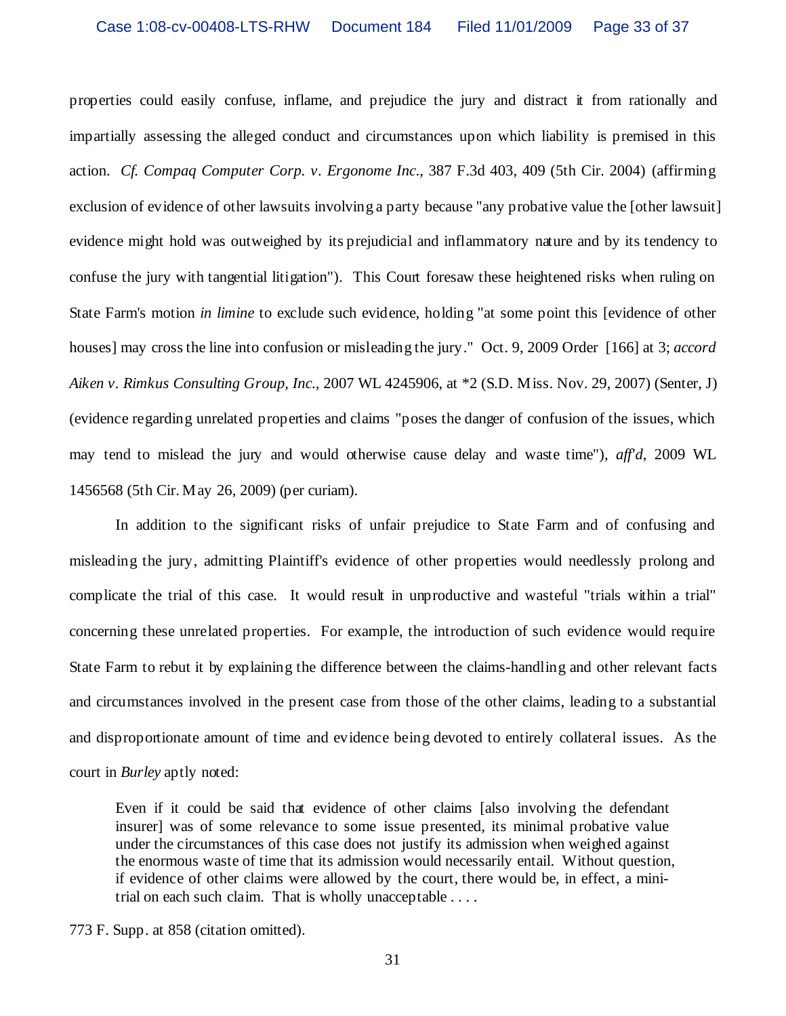properties could easily confuse, inflame, and prejudice the jury and distract it from rationally and impartially assessing the alleged conduct and circumstances upon which liability is premised in this action. *Cf. Compaq Computer Corp. v. Ergonome Inc*., 387 F.3d 403, 409 (5th Cir. 2004) (affirming exclusion of evidence of other lawsuits involving a party because "any probative value the [other lawsuit] evidence might hold was outweighed by its prejudicial and inflammatory nature and by its tendency to confuse the jury with tangential litigation"). This Court foresaw these heightened risks when ruling on State Farm's motion *in limine* to exclude such evidence, holding "at some point this [evidence of other houses] may cross the line into confusion or misleading the jury." Oct. 9, 2009 Order [166] at 3; *accord Aiken v. Rimkus Consulting Group, Inc*., 2007 WL 4245906, at \*2 (S.D. Miss. Nov. 29, 2007) (Senter, J) (evidence regarding unrelated properties and claims "poses the danger of confusion of the issues, which may tend to mislead the jury and would otherwise cause delay and waste time"), *aff'd*, 2009 WL 1456568 (5th Cir. May 26, 2009) (per curiam).

In addition to the significant risks of unfair prejudice to State Farm and of confusing and misleading the jury, admitting Plaintiff's evidence of other properties would needlessly prolong and complicate the trial of this case. It would result in unproductive and wasteful "trials within a trial" concerning these unrelated properties. For example, the introduction of such evidence would require State Farm to rebut it by explaining the difference between the claims-handling and other relevant facts and circumstances involved in the present case from those of the other claims, leading to a substantial and disproportionate amount of time and evidence being devoted to entirely collateral issues. As the court in *Burley* aptly noted:

Even if it could be said that evidence of other claims [also involving the defendant insurer] was of some relevance to some issue presented, its minimal probative value under the circumstances of this case does not justify its admission when weighed against the enormous waste of time that its admission would necessarily entail. Without question, if evidence of other claims were allowed by the court, there would be, in effect, a minitrial on each such claim. That is wholly unacceptable . . . .

773 F. Supp. at 858 (citation omitted).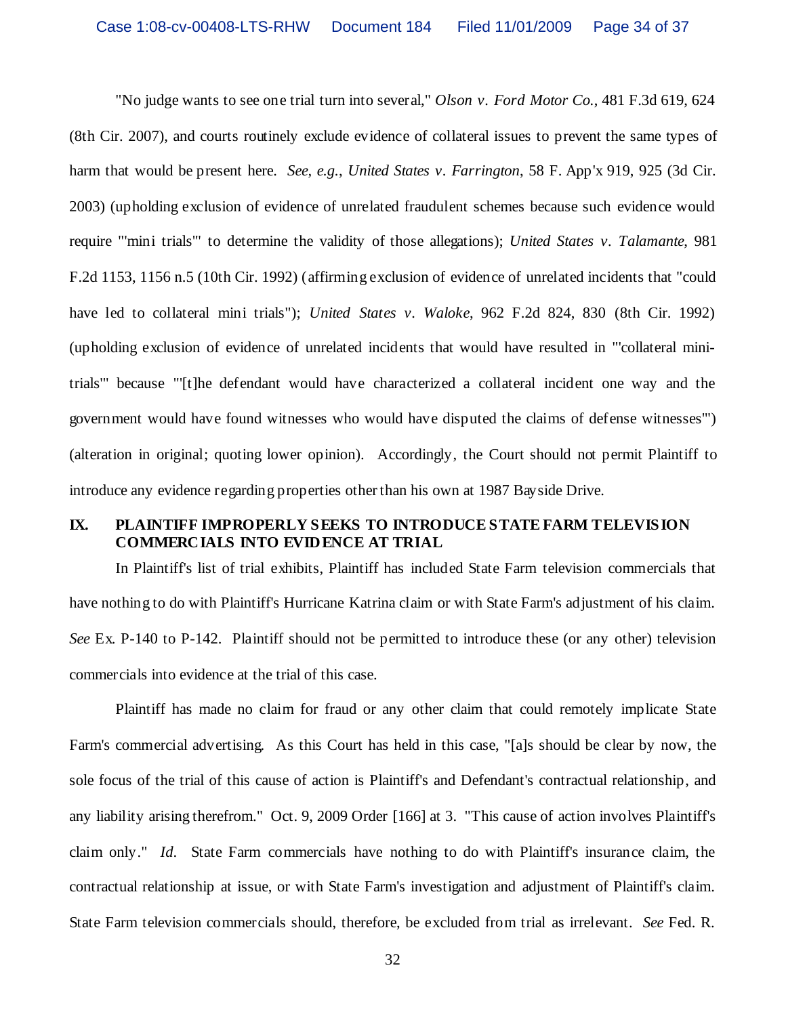"No judge wants to see one trial turn into several," *Olson v. Ford Motor Co.*, 481 F.3d 619, 624 (8th Cir. 2007), and courts routinely exclude evidence of collateral issues to prevent the same types of harm that would be present here. *See, e.g.*, *United States v. Farrington*, 58 F. App'x 919, 925 (3d Cir. 2003) (upholding exclusion of evidence of unrelated fraudulent schemes because such evidence would require "'mini trials'" to determine the validity of those allegations); *United States v. Talamante*, 981 F.2d 1153, 1156 n.5 (10th Cir. 1992) (affirming exclusion of evidence of unrelated incidents that "could have led to collateral mini trials"); *United States v. Waloke*, 962 F.2d 824, 830 (8th Cir. 1992) (upholding exclusion of evidence of unrelated incidents that would have resulted in "'collateral minitrials'" because "'[t]he defendant would have characterized a collateral incident one way and the government would have found witnesses who would have disputed the claims of defense witnesses'") (alteration in original; quoting lower opinion). Accordingly, the Court should not permit Plaintiff to introduce any evidence regarding properties other than his own at 1987 Bayside Drive.

# **IX. PLAINTIFF IMPROPERLY SEEKS TO INTRODUCE STATE FARM TELEVISION COMMERCIALS INTO EVIDENCE AT TRIAL**

In Plaintiff's list of trial exhibits, Plaintiff has included State Farm television commercials that have nothing to do with Plaintiff's Hurricane Katrina claim or with State Farm's adjustment of his claim. *See* Ex. P-140 to P-142. Plaintiff should not be permitted to introduce these (or any other) television commercials into evidence at the trial of this case.

Plaintiff has made no claim for fraud or any other claim that could remotely implicate State Farm's commercial advertising. As this Court has held in this case, "[a]s should be clear by now, the sole focus of the trial of this cause of action is Plaintiff's and Defendant's contractual relationship, and any liability arising therefrom." Oct. 9, 2009 Order [166] at 3. "This cause of action involves Plaintiff's claim only." *Id*. State Farm commercials have nothing to do with Plaintiff's insurance claim, the contractual relationship at issue, or with State Farm's investigation and adjustment of Plaintiff's claim. State Farm television commercials should, therefore, be excluded from trial as irrelevant. *See* Fed. R.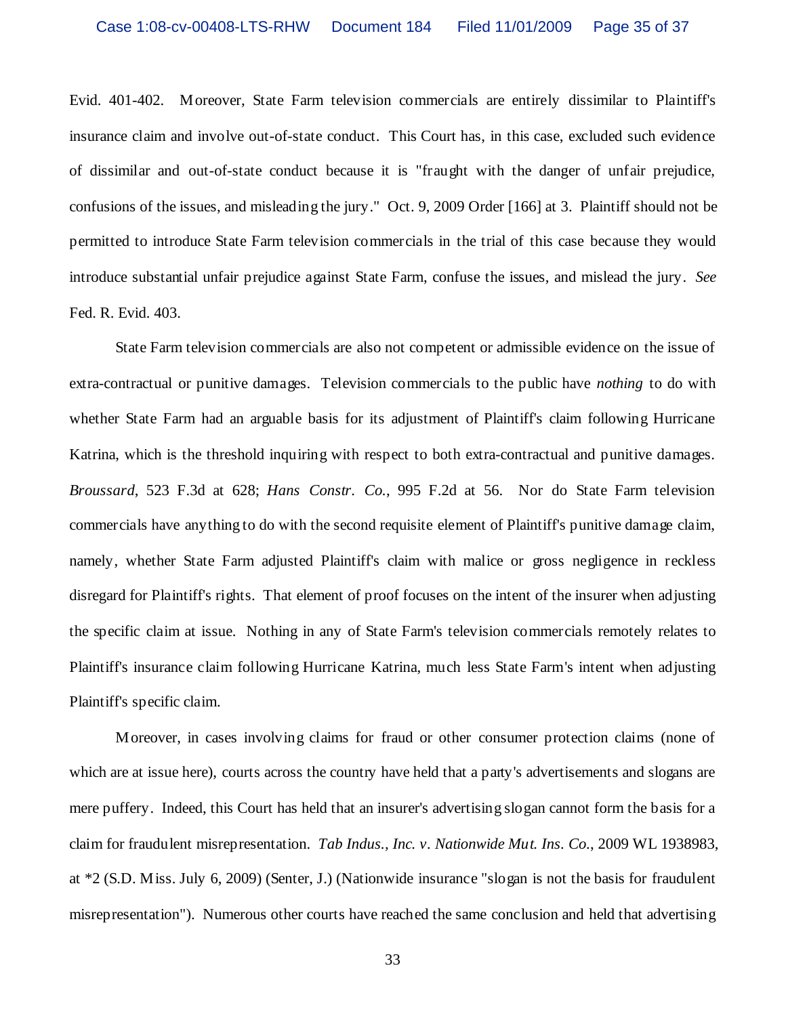Evid. 401-402. Moreover, State Farm television commercials are entirely dissimilar to Plaintiff's insurance claim and involve out-of-state conduct. This Court has, in this case, excluded such evidence of dissimilar and out-of-state conduct because it is "fraught with the danger of unfair prejudice, confusions of the issues, and misleading the jury." Oct. 9, 2009 Order [166] at 3. Plaintiff should not be permitted to introduce State Farm television commercials in the trial of this case because they would introduce substantial unfair prejudice against State Farm, confuse the issues, and mislead the jury. *See* Fed. R. Evid. 403.

State Farm television commercials are also not competent or admissible evidence on the issue of extra-contractual or punitive damages. Television commercials to the public have *nothing* to do with whether State Farm had an arguable basis for its adjustment of Plaintiff's claim following Hurricane Katrina, which is the threshold inquiring with respect to both extra-contractual and punitive damages. *Broussard*, 523 F.3d at 628; *Hans Constr. Co.*, 995 F.2d at 56. Nor do State Farm television commercials have anything to do with the second requisite element of Plaintiff's punitive damage claim, namely, whether State Farm adjusted Plaintiff's claim with malice or gross negligence in reckless disregard for Plaintiff's rights. That element of proof focuses on the intent of the insurer when adjusting the specific claim at issue. Nothing in any of State Farm's television commercials remotely relates to Plaintiff's insurance claim following Hurricane Katrina, much less State Farm's intent when adjusting Plaintiff's specific claim.

Moreover, in cases involving claims for fraud or other consumer protection claims (none of which are at issue here), courts across the country have held that a party's advertisements and slogans are mere puffery. Indeed, this Court has held that an insurer's advertising slogan cannot form the basis for a claim for fraudulent misrepresentation. *Tab Indus., Inc. v. Nationwide Mut. Ins. Co.*, 2009 WL 1938983, at \*2 (S.D. Miss. July 6, 2009) (Senter, J.) (Nationwide insurance "slogan is not the basis for fraudulent misrepresentation"). Numerous other courts have reached the same conclusion and held that advertising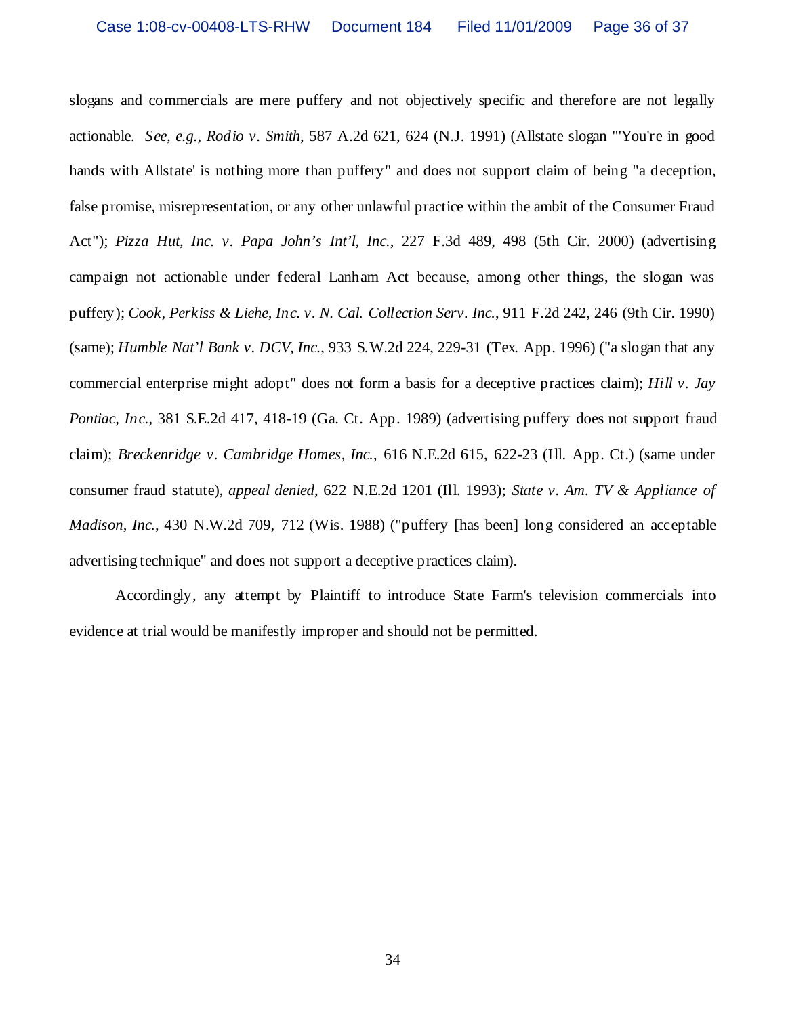slogans and commercials are mere puffery and not objectively specific and therefore are not legally actionable. *See, e.g., Rodio v. Smith*, 587 A.2d 621, 624 (N.J. 1991) (Allstate slogan "'You're in good hands with Allstate' is nothing more than puffery" and does not support claim of being "a deception, false promise, misrepresentation, or any other unlawful practice within the ambit of the Consumer Fraud Act"); *Pizza Hut, Inc. v. Papa John's Int'l, Inc.*, 227 F.3d 489, 498 (5th Cir. 2000) (advertising campaign not actionable under federal Lanham Act because, among other things, the slogan was puffery); *Cook, Perkiss & Liehe, Inc. v. N. Cal. Collection Serv. Inc.*, 911 F.2d 242, 246 (9th Cir. 1990) (same); *Humble Nat'l Bank v. DCV, Inc.*, 933 S.W.2d 224, 229-31 (Tex. App. 1996) ("a slogan that any commercial enterprise might adopt" does not form a basis for a deceptive practices claim); *Hill v. Jay Pontiac, Inc.*, 381 S.E.2d 417, 418-19 (Ga. Ct. App. 1989) (advertising puffery does not support fraud claim); *Breckenridge v. Cambridge Homes, Inc.*, 616 N.E.2d 615, 622-23 (Ill. App. Ct.) (same under consumer fraud statute), *appeal denied*, 622 N.E.2d 1201 (Ill. 1993); *State v. Am. TV & Appliance of Madison, Inc.*, 430 N.W.2d 709, 712 (Wis. 1988) ("puffery [has been] long considered an acceptable advertising technique" and does not support a deceptive practices claim).

Accordingly, any attempt by Plaintiff to introduce State Farm's television commercials into evidence at trial would be manifestly improper and should not be permitted.